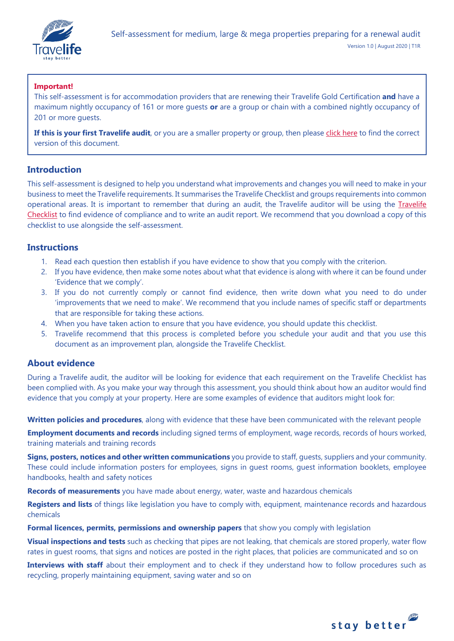

# **Important!**

This self-assessment is for accommodation providers that are renewing their Travelife Gold Certification **and** have a maximum nightly occupancy of 161 or more guests **or** are a group or chain with a combined nightly occupancy of 201 or more guests.

If this is your first Travelife audit, or you are a smaller property or group, then please [click here](https://travelifestaybetter.com/your-audit/) to find the correct version of this document.

# **Introduction**

This self-assessment is designed to help you understand what improvements and changes you will need to make in your business to meet the Travelife requirements. It summarises the Travelife Checklist and groups requirements into common operational areas. It is important to remember that during an audit, the Travelife auditor will be using the [Travelife](https://travelifestaybetter.com/travelife-standard-checklists/)  [Checklist](https://travelifestaybetter.com/travelife-standard-checklists/) to find evidence of compliance and to write an audit report. We recommend that you download a copy of this checklist to use alongside the self-assessment.

# **Instructions**

- 1. Read each question then establish if you have evidence to show that you comply with the criterion.
- 2. If you have evidence, then make some notes about what that evidence is along with where it can be found under 'Evidence that we comply'.
- 3. If you do not currently comply or cannot find evidence, then write down what you need to do under 'improvements that we need to make'. We recommend that you include names of specific staff or departments that are responsible for taking these actions.
- 4. When you have taken action to ensure that you have evidence, you should update this checklist.
- 5. Travelife recommend that this process is completed before you schedule your audit and that you use this document as an improvement plan, alongside the Travelife Checklist.

# **About evidence**

During a Travelife audit, the auditor will be looking for evidence that each requirement on the Travelife Checklist has been complied with. As you make your way through this assessment, you should think about how an auditor would find evidence that you comply at your property. Here are some examples of evidence that auditors might look for:

**Written policies and procedures**, along with evidence that these have been communicated with the relevant people

**Employment documents and records** including signed terms of employment, wage records, records of hours worked, training materials and training records

**Signs, posters, notices and other written communications** you provide to staff, guests, suppliers and your community. These could include information posters for employees, signs in guest rooms, guest information booklets, employee handbooks, health and safety notices

**Records of measurements** you have made about energy, water, waste and hazardous chemicals

**Registers and lists** of things like legislation you have to comply with, equipment, maintenance records and hazardous chemicals

**Formal licences, permits, permissions and ownership papers** that show you comply with legislation

**Visual inspections and tests** such as checking that pipes are not leaking, that chemicals are stored properly, water flow rates in guest rooms, that signs and notices are posted in the right places, that policies are communicated and so on

**Interviews with staff** about their employment and to check if they understand how to follow procedures such as recycling, properly maintaining equipment, saving water and so on

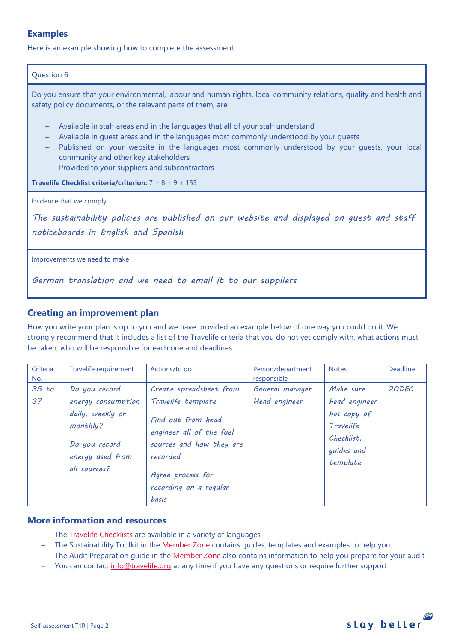# **Examples**

Here is an example showing how to complete the assessment.

# Question 6

Do you ensure that your environmental, labour and human rights, local community relations, quality and health and safety policy documents, or the relevant parts of them, are:

- − Available in staff areas and in the languages that all of your staff understand
- − Available in quest areas and in the languages most commonly understood by your quests
- − Published on your website in the languages most commonly understood by your guests, your local community and other key stakeholders
- Provided to your suppliers and subcontractors

**Travelife Checklist criteria/criterion:** 7 + 8 + 9 + 155

Evidence that we comply

*The sustainability policies are published on our website and displayed on guest and staff noticeboards in English and Spanish* 

Improvements we need to make

*German translation and we need to email it to our suppliers*

# **Creating an improvement plan**

How you write your plan is up to you and we have provided an example below of one way you could do it. We strongly recommend that it includes a list of the Travelife criteria that you do not yet comply with, what actions must be taken, who will be responsible for each one and deadlines.

| Criteria<br>No. | Travelife requirement                                                                                                    | Actions/to do                                                                                                                                                                                   | Person/department<br>responsible | <b>Notes</b>                                                                                   | <b>Deadline</b> |
|-----------------|--------------------------------------------------------------------------------------------------------------------------|-------------------------------------------------------------------------------------------------------------------------------------------------------------------------------------------------|----------------------------------|------------------------------------------------------------------------------------------------|-----------------|
| 35 to<br>37     | Do you record<br>energy consumption<br>daily, weekly or<br>monthly?<br>Do you record<br>energy used from<br>all sources? | Create spreadsheet from<br>Travelife template<br>Find out from head<br>engineer all of the fuel<br>sources and how they are<br>recorded<br>Agree process for<br>recording on a regular<br>basis | General manager<br>Head engineer | Make sure<br>head engineer<br>has copy of<br>Travelife<br>Checklist.<br>guides and<br>template | 20DEC           |

# **More information and resources**

- − The [Travelife Checklists](https://travelifestaybetter.com/travelife-standard-checklists/) are available in a variety of languages
- − The Sustainability Toolkit in the [Member Zone](https://travelifestaybetter.com/accommodation-member-zone/) contains guides, templates and examples to help you
- − The Audit Preparation guide in the [Member Zone](https://travelifestaybetter.com/accommodation-member-zone/) also contains information to help you prepare for your audit
- You can contact [info@travelife.org](mailto:info@travelife.org) at any time if you have any questions or require further support

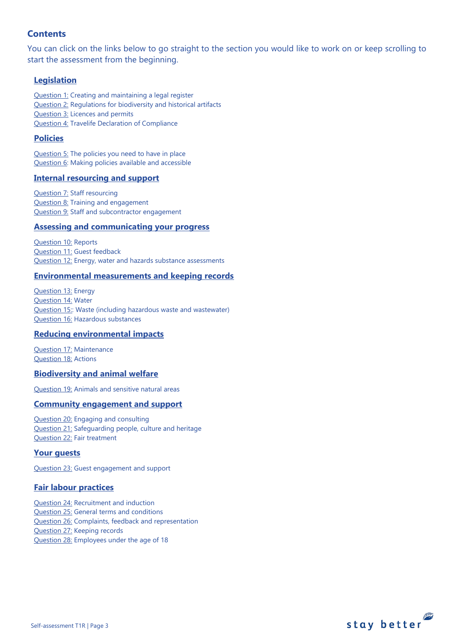# **Contents**

You can click on the links below to go straight to the section you would like to work on or keep scrolling to start the assessment from the beginning.

# **[Legislation](#page-3-0)**

[Question 1:](#page-3-1) Creating and maintaining a legal register [Question 2:](#page-3-2) Regulations for biodiversity and historical artifacts [Question 3:](#page-4-0) Licences and permits [Question 4:](#page-4-1) Travelife Declaration of Compliance

# **[Policies](#page-5-0)**

[Question 5:](#page-5-1) The policies you need to have in place [Question 6:](#page-8-0) Making policies available and accessible

# **[Internal resourcing and support](#page-9-0)**

**[Question 7:](#page-9-1) Staff resourcing** [Question 8:](#page-9-2) Training and engagement [Question 9:](#page-10-0) Staff and subcontractor engagement

# **[Assessing and communicating your progress](#page-10-0)**

[Question 10:](#page-11-0) Reports [Question 11:](#page-12-0) Guest feedback [Question 12:](#page-13-0) Energy, water and hazards substance assessments

# **[Environmental measurements and keeping records](#page-13-1)**

[Question 13:](#page-13-2) Energy [Question 14:](#page-14-0) Water [Question 15::](#page-15-0) Waste (including hazardous waste and wastewater) [Question 16:](#page-17-0) Hazardous substances

# **[Reducing environmental impacts](#page-19-0)**

[Question 17:](#page-20-0) Maintenance [Question 18:](#page-20-1) Actions

# **[Biodiversity and animal welfare](#page-22-0)**

[Question 19:](#page-23-0) Animals and sensitive natural areas

# **[Community engagement](#page-24-0) and support**

[Question 20:](#page-24-1) Engaging and consulting [Question 21:](#page-24-2) Safeguarding people, culture and heritage [Question 22:](#page-25-0) Fair treatment

# **[Your guests](#page-25-1)**

[Question 23:](#page-26-0) Guest engagement and support

# **[Fair labour practices](#page-27-0)**

[Question 24:](#page-27-1) Recruitment and induction [Question 25:](#page-28-0) General terms and conditions [Question 26:](#page-29-0) Complaints, feedback and representation [Question 27:](#page-30-0) Keeping records [Question 28:](#page-31-0) Employees under the age of 18

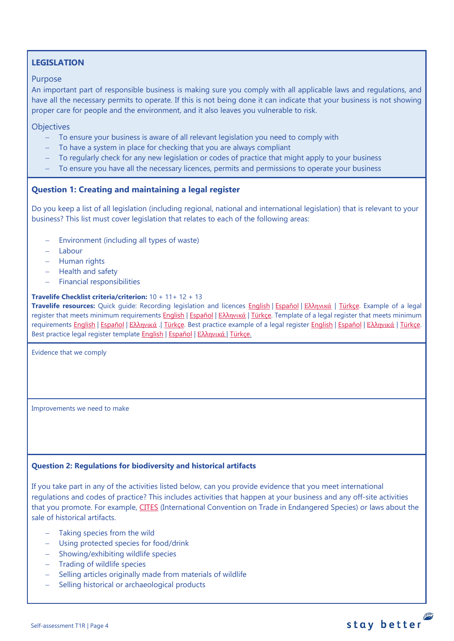# <span id="page-3-0"></span>**LEGISLATION**

## Purpose

An important part of responsible business is making sure you comply with all applicable laws and regulations, and have all the necessary permits to operate. If this is not being done it can indicate that your business is not showing proper care for people and the environment, and it also leaves you vulnerable to risk.

**Objectives** 

- − To ensure your business is aware of all relevant legislation you need to comply with
- − To have a system in place for checking that you are always compliant
- − To regularly check for any new legislation or codes of practice that might apply to your business
- − To ensure you have all the necessary licences, permits and permissions to operate your business

# <span id="page-3-1"></span>**Question 1: Creating and maintaining a legal register**

Do you keep a list of all legislation (including regional, national and international legislation) that is relevant to your business? This list must cover legislation that relates to each of the following areas:

- − Environment (including all types of waste)
- − Labour
- − Human rights
- − Health and safety
- − Financial responsibilities

#### **Travelife Checklist criteria/criterion:** 10 + 11+ 12 + 13

**Travelife resources:** Quick guide: Recording legislation and licences [English](https://travelifestaybetter.com/wp-content/uploads/2019/02/1-Quick-Guide-Recording-Legislation-and-Licenses.pdf) | [Español](https://travelifestaybetter.com/wp-content/uploads/2019/02/1-ES-Quick-Guide-Recording-Legislation-and-Licenses.pdf) | Ελλ[ηνικά](https://travelifestaybetter.com/wp-content/uploads/2020/02/21-Quick-Guide-Recording-Legislation-and-Licenses-GR.pdf) | [Türkçe.](https://travelifestaybetter.com/wp-content/uploads/2020/12/1-Quick-Guide-Recording-Legislation-and-Licenses-TR-Hizli-Kilavuz-Mevzuat-ve-Lisanslarin-Kayit-Edilmesi.pdf) Example of a legal register that meets minimum requirements **English | [Español](https://travelifestaybetter.com/wp-content/uploads/2019/02/1-ES-Example-Legal-Register.pdf) | Ελλ[ηνικά](https://travelifestaybetter.com/wp-content/uploads/2020/02/23-Example-Legal-Register-GR.pdf) | Türkçe**. Template of a legal register that meets minimum requirements [English](https://travelifestaybetter.com/wp-content/uploads/2020/12/1-Example-Legal-Register-Excellence-V1.1.pdf) | [Español](https://travelifestaybetter.com/wp-content/uploads/2020/12/1-ES-Example-Legal-Register-Excellence-V1.1.pdf) | Ελλ[ηνικά](https://travelifestaybetter.com/wp-content/uploads/2020/12/1-Example-Legal-Register-Excellence-V1.1-GR.pdf) | [Türkçe.](https://travelifestaybetter.com/wp-content/uploads/2020/12/1-Template-Legal-Register-Minimum-Requirements-TR-Sablon-Yasal-Kayit-Minimum-Gereksinimler.docx) Best practice example of a legal register English | Español | Ελληνικά | [Türkçe.](https://travelifestaybetter.com/wp-content/uploads/2020/12/1-Example-Legal-Register-Excellence-TR-Ornek-Yasal-Kayit-En-iyi-Uygulama.pdf) Best practice legal register template [English](https://travelifestaybetter.com/wp-content/uploads/2019/02/1-Template-Legal-Register-Best-Practice.docx) | [Español](https://travelifestaybetter.com/wp-content/uploads/2019/02/1-ES-Template-Legal-Register-Best-Practice.docx) | Ελλ[ηνικά](https://travelifestaybetter.com/wp-content/uploads/2020/02/24-Template-Legal-Register-Best-Practice-GR.docx) [| Türkçe.](https://travelifestaybetter.com/wp-content/uploads/2020/12/1-Template-Legal-Register-Best-Practice-TR-Sablon-Yasal-Kayit-En-Iyi-Uygulama.docx)

Evidence that we comply

Improvements we need to make

# <span id="page-3-2"></span>**Question 2: Regulations for biodiversity and historical artifacts**

If you take part in any of the activities listed below, can you provide evidence that you meet international regulations and codes of practice? This includes activities that happen at your business and any off-site activities that you promote. For example, [CITES](https://cites.org/) (International Convention on Trade in Endangered Species) or laws about the sale of historical artifacts.

- Taking species from the wild
- − Using protected species for food/drink
- − Showing/exhibiting wildlife species
- − Trading of wildlife species
- − Selling articles originally made from materials of wildlife
- − Selling historical or archaeological products

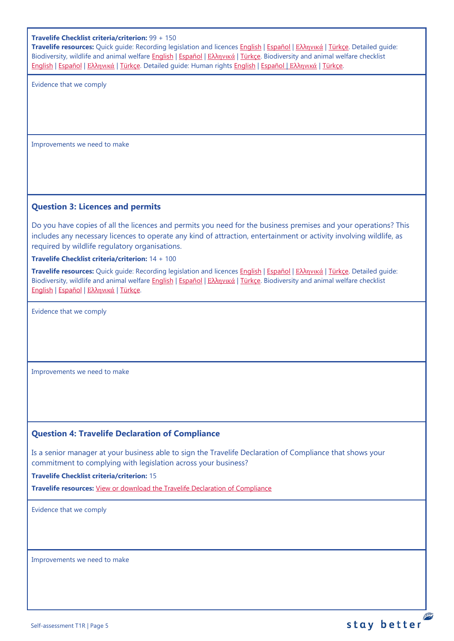#### **Travelife Checklist criteria/criterion:** 99 + 150

**Travelife resources:** Quick guide: Recording legislation and licences [English](https://travelifestaybetter.com/wp-content/uploads/2019/02/1-Quick-Guide-Recording-Legislation-and-Licenses.pdf) | [Español](https://travelifestaybetter.com/wp-content/uploads/2019/02/1-ES-Quick-Guide-Recording-Legislation-and-Licenses.pdf) | Ελλ[ηνικά](https://travelifestaybetter.com/wp-content/uploads/2020/02/21-Quick-Guide-Recording-Legislation-and-Licenses-GR.pdf) | [Türkçe.](https://travelifestaybetter.com/wp-content/uploads/2020/12/1-Quick-Guide-Recording-Legislation-and-Licenses-TR-Hizli-Kilavuz-Mevzuat-ve-Lisanslarin-Kayit-Edilmesi.pdf) Detailed guide: Biodiversity, wildlife and animal welfare [English](https://travelifestaybetter.com/wp-content/uploads/2021/01/21-Detailed-Guided-Biodiversity-and-Animal-Welfare-V2.0.pdf) | [Español](https://travelifestaybetter.com/wp-content/uploads/2021/01/21-ES-Detailed-Guided-Biodiversity-and-Animal-Welfare-V2.0.pdf) | Ελλ[ηνικά](https://travelifestaybetter.com/wp-content/uploads/2021/01/21-GR-Detailed-Guided-Biodiversity-and-Animal-Welfare.pdf) | [Türkçe.](https://travelifestaybetter.com/wp-content/uploads/2021/01/21-Detailed-Guided-Biodiversity-and-Animal-Welfare-V2.0-TR-Biyocesitlilik-ve-Hayvan-Refahi-Detayli-Kilavuz.pdf) Biodiversity and animal welfare checklist [English](https://travelifestaybetter.com/wp-content/uploads/2020/11/21-Biodiversity-and-Animal-Welfare-Checklist-V2.0.docx) | [Español](https://travelifestaybetter.com/wp-content/uploads/2020/11/21-ES-Biodiversity-and-Animal-Welfare-Checklist-V2.0.docx) | Ελλ[ηνικά](https://travelifestaybetter.com/wp-content/uploads/2021/01/21-GR-Biodiversity-and-Animal-Welfare-Checklist.docx) | [Türkçe.](https://travelifestaybetter.com/wp-content/uploads/2020/10/21-Biodiversity-and-Animal-Welfare-Checklist-July-2021-TR-Biyocesitlilik-ve-Hayvan-Refahi-Kontrol-Listesi.docx) Detailed guide: Human rights [English](https://travelifestaybetter.com/wp-content/uploads/2021/01/8-Detailed-Guide-Human-Rights.pdf) | [Español](https://travelifestaybetter.com/wp-content/uploads/2021/01/8-ES-Detailed-Guide-Human-Rights.pdf) | Ελλ[ηνικά](https://travelifestaybetter.com/wp-content/uploads/2021/01/8-GR-Detailed-Guide-Human-Rights.pdf) | [Türkçe.](https://travelifestaybetter.com/wp-content/uploads/2021/01/8-Detailed-Guide-Human-Rights-TR-Insan-Haklari-Detayli-Kilavuz.pdf)

Evidence that we comply

Improvements we need to make

# <span id="page-4-0"></span>**Question 3: Licences and permits**

Do you have copies of all the licences and permits you need for the business premises and your operations? This includes any necessary licences to operate any kind of attraction, entertainment or activity involving wildlife, as required by wildlife regulatory organisations.

**Travelife Checklist criteria/criterion:** 14 + 100

**Travelife resources:** Quick guide: Recording legislation and licences [English](https://travelifestaybetter.com/wp-content/uploads/2019/02/1-Quick-Guide-Recording-Legislation-and-Licenses.pdf) | [Español](https://travelifestaybetter.com/wp-content/uploads/2019/02/1-ES-Quick-Guide-Recording-Legislation-and-Licenses.pdf) | Ελλ[ηνικά](https://travelifestaybetter.com/wp-content/uploads/2020/02/21-Quick-Guide-Recording-Legislation-and-Licenses-GR.pdf) | [Türkçe.](https://travelifestaybetter.com/wp-content/uploads/2020/12/1-Quick-Guide-Recording-Legislation-and-Licenses-TR-Hizli-Kilavuz-Mevzuat-ve-Lisanslarin-Kayit-Edilmesi.pdf) Detailed guide: Biodiversity, wildlife and animal welfare **English | [Español](https://travelifestaybetter.com/wp-content/uploads/2021/01/21-ES-Detailed-Guided-Biodiversity-and-Animal-Welfare-V2.0.pdf) | Ελλ[ηνικά](https://travelifestaybetter.com/wp-content/uploads/2021/01/21-GR-Detailed-Guided-Biodiversity-and-Animal-Welfare.pdf) | Türkçe**. Biodiversity and animal welfare checklist [English](https://travelifestaybetter.com/wp-content/uploads/2020/11/21-Biodiversity-and-Animal-Welfare-Checklist-V2.0.docx) | [Español](https://travelifestaybetter.com/wp-content/uploads/2020/11/21-ES-Biodiversity-and-Animal-Welfare-Checklist-V2.0.docx) | Ελλ[ηνικά](https://travelifestaybetter.com/wp-content/uploads/2021/01/21-GR-Biodiversity-and-Animal-Welfare-Checklist.docx) | [Türkçe.](https://travelifestaybetter.com/wp-content/uploads/2020/10/21-Biodiversity-and-Animal-Welfare-Checklist-July-2021-TR-Biyocesitlilik-ve-Hayvan-Refahi-Kontrol-Listesi.docx)

Evidence that we comply

Improvements we need to make

## <span id="page-4-1"></span>**Question 4: Travelife Declaration of Compliance**

Is a senior manager at your business able to sign the Travelife Declaration of Compliance that shows your commitment to complying with legislation across your business?

**Travelife Checklist criteria/criterion:** 15

**Travelife resources:** [View or download the Travelife Declaration](https://travelifestaybetter.com/wp-content/uploads/2019/02/Travelife-Declaration-of-Compliance.docx) of Compliance

Evidence that we comply

Improvements we need to make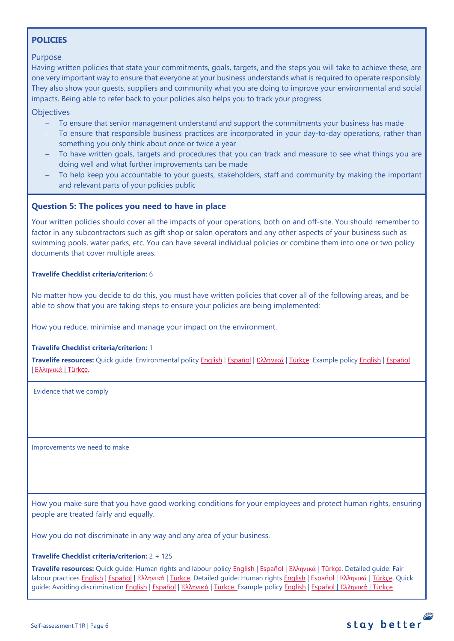# <span id="page-5-0"></span>**POLICIES**

# Purpose

Having written policies that state your commitments, goals, targets, and the steps you will take to achieve these, are one very important way to ensure that everyone at your business understands what is required to operate responsibly. They also show your guests, suppliers and community what you are doing to improve your environmental and social impacts. Being able to refer back to your policies also helps you to track your progress.

**Objectives** 

- − To ensure that senior management understand and support the commitments your business has made
- To ensure that responsible business practices are incorporated in your day-to-day operations, rather than something you only think about once or twice a year
- To have written goals, targets and procedures that you can track and measure to see what things you are doing well and what further improvements can be made
- To help keep you accountable to your guests, stakeholders, staff and community by making the important and relevant parts of your policies public

# <span id="page-5-1"></span>**Question 5: The polices you need to have in place**

Your written policies should cover all the impacts of your operations, both on and off-site. You should remember to factor in any subcontractors such as gift shop or salon operators and any other aspects of your business such as swimming pools, water parks, etc. You can have several individual policies or combine them into one or two policy documents that cover multiple areas.

## **Travelife Checklist criteria/criterion:** 6

No matter how you decide to do this, you must have written policies that cover all of the following areas, and be able to show that you are taking steps to ensure your policies are being implemented:

How you reduce, minimise and manage your impact on the environment.

#### **Travelife Checklist criteria/criterion:** 1

**Travelife resources:** Quick guide: Environmental policy [English](https://travelifestaybetter.com/wp-content/uploads/2019/02/3-Quick-Guide-Environmental-Policy.pdf) | [Español](https://travelifestaybetter.com/wp-content/uploads/2019/02/3-ES-Quick-Guide-Environmental-Policy.pdf) | Ελλ[ηνικά](https://travelifestaybetter.com/wp-content/uploads/2020/02/30-Quick-Guide-Environmental-Policy-GR.pdf) | [Türkçe.](https://travelifestaybetter.com/wp-content/uploads/2020/12/3-Quick-Guide-Environmental-Policy-TR-Hizli-Kilavuz-Cevre-Politikasi.pdf) Example polic[y English](https://travelifestaybetter.com/wp-content/uploads/2019/02/3-Example-Environmental-Policy.pdf) | [Español](https://travelifestaybetter.com/wp-content/uploads/2019/02/3-ES-Example-Environmental-Policy.pdf) | Ελλ[ηνικά](https://travelifestaybetter.com/wp-content/uploads/2020/07/31-Example-Environmental-Policy-GR.pdf) | [Türkçe.](https://travelifestaybetter.com/wp-content/uploads/2020/12/3-Example-Environmental-Policy-TR-Ornek-Cevre-Politikasi.pdf)

Evidence that we comply

Improvements we need to make

How you make sure that you have good working conditions for your employees and protect human rights, ensuring people are treated fairly and equally.

How you do not discriminate in any way and any area of your business.

#### **Travelife Checklist criteria/criterion:** 2 + 125

**Travelife resources:** Quick guide: Human rights and labour policy [English](https://travelifestaybetter.com/wp-content/uploads/2019/02/8-Quick-Guide-Labour-and-Human-Rights-Policy.pdf) | [Español](https://travelifestaybetter.com/wp-content/uploads/2019/02/8-ES-Quick-Guide-Labour-and-Human-Rights-Policy.pdf) | Ελλ[ηνικά](https://travelifestaybetter.com/wp-content/uploads/2020/07/35-Quick-Guide-Labour-and-Human-Rights-Policy-GR.pdf) | [Türkçe.](https://travelifestaybetter.com/wp-content/uploads/2020/08/8-Quick-Guide-Labour-and-Human-Rights-Policy-TR-8-Hizli-Kilavuz-Isci-ve-Insan-Haklari-Politikasi.pdf) Detailed guide: Fair labour practices [English](https://travelifestaybetter.com/wp-content/uploads/2021/01/8-Detailed-Guide-Human-Rights.pdf) | Εspañol | Ελλ[ηνικά](https://travelifestaybetter.com/wp-content/uploads/2021/01/8-GR-Detailed-Guide-Human-Rights.pdf) | [Türkçe.](https://travelifestaybetter.com/wp-content/uploads/2021/01/10-Detailed-Guide-Fair-Labour-Practices-TR-Adil-Is-Gucu-Uygulamalari-Detayli-Kilavuz.pdf) Detailed guide: Human rights English | Εspañol | Ελληνικά | [Türkçe.](https://travelifestaybetter.com/wp-content/uploads/2021/01/8-Detailed-Guide-Human-Rights-TR-Insan-Haklari-Detayli-Kilavuz.pdf) Quick guide: Avoiding discriminatio[n English](https://travelifestaybetter.com/wp-content/uploads/2019/02/13-Quick-Guide-Avoiding-Workplace-Discrimination.pdf) | [Español](https://travelifestaybetter.com/wp-content/uploads/2021/06/8-ES-Example-Labour-Human-Rights-Policy.pdf) | Ελλ[ηνικά](https://travelifestaybetter.com/wp-content/uploads/2020/07/38-Quick-Guide-Avoiding-Workplace-Discrimination-GR.pdf) | [Türkçe.](https://travelifestaybetter.com/wp-content/uploads/2020/10/13-Quick-Guide-Avoiding-Workplace-Discrimination-TR-Isyerinde-Ayrimciligi-Onlemek-icin-Hizli-Kilavuz.pdf) Example policy [English](https://travelifestaybetter.com/wp-content/uploads/2021/06/10-Example-Labour-and-Human-Rights-Policy.pdf) | Español | [Ελληνικά](https://travelifestaybetter.com/wp-content/uploads/2021/08/10-Example-Labour-and-Human-Rights-Policy-GR.pdf) | [Türkçe](https://travelifestaybetter.com/wp-content/uploads/2021/06/10-Example-Labour-and-Human-Rights-Policy-TR-Ornek-Calisan-ve-Insan-Haklari-Politikasi.pdf)



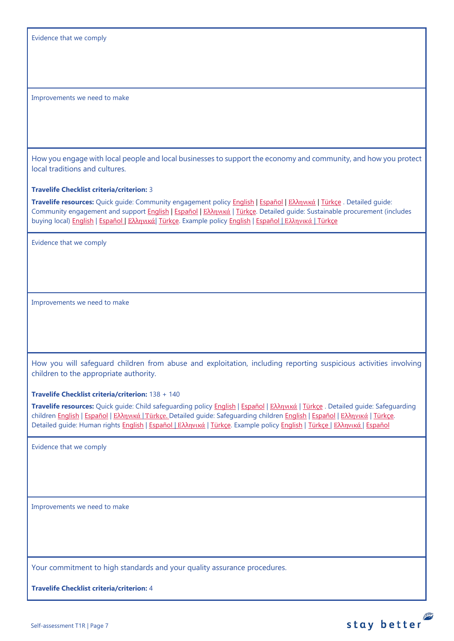Evidence that we comply

Improvements we need to make

How you engage with local people and local businesses to support the economy and community, and how you protect local traditions and cultures.

**Travelife Checklist criteria/criterion:** 3

**Travelife resources:** Quick guide: Community engagement policy [English](https://travelifestaybetter.com/wp-content/uploads/2019/02/7-Quick-Guide-Community-Engagement.pdf) | [Español](https://travelifestaybetter.com/wp-content/uploads/2019/02/7-ES-Quick-Guide-Community-Engagement.pdf) | Ελλ[ηνικά](https://travelifestaybetter.com/wp-content/uploads/2020/07/34-Quick-Guide-Community-Engagement-GR.pdf) | [Türkçe](https://travelifestaybetter.com/wp-content/uploads/2020/08/7-Quick-Guide-Community-Engagement-TR-7-Hizli-Kilavuz-Toplum-Uyum-Politikasi.pdf) . Detailed guide: Community engagement and suppor[t English](https://travelifestaybetter.com/wp-content/uploads/2019/02/7-Detailed-Guide-Community-Engagement.pdf) | [Español](https://travelifestaybetter.com/wp-content/uploads/2019/02/7-ES-Detailed-Guide-Community-Engagement.pdf) | Ελλ[ηνικά](https://travelifestaybetter.com/wp-content/uploads/2020/11/7-GR-Detailed-Guide-Community-Engagement.pdf) | [Türkçe.](https://travelifestaybetter.com/wp-content/uploads/2021/01/7-Detailed-Guide-Community-Engagement-TR-Toplum-Katilimi-ve-Destegi-Detayli-Kilavuz.pdf) Detailed guide: Sustainable procurement (includes buying local[\) English](https://travelifestaybetter.com/wp-content/uploads/2019/02/22-Detailed-Guide-Sustainable-Procurement.pdf) | [Español](https://travelifestaybetter.com/wp-content/uploads/2019/03/22-ES-Detailed-Guide-Sustainable-Procurement.pdf) | Ελλ[ηνικά](https://travelifestaybetter.com/wp-content/uploads/2021/01/22-GR-Detailed-Guide-Sustainable-Procurement.pdf)| [Türkçe.](https://travelifestaybetter.com/wp-content/uploads/2021/01/22-Detailed-Guide-Sustainable-Procurement-TR-Surdurulebilir-Tedarik-Detayli-Kilavuz.pdf) Example polic[y English](https://travelifestaybetter.com/wp-content/uploads/2021/06/7-Example-Community-engagement-Policy.pdf) | [Español](https://travelifestaybetter.com/wp-content/uploads/2021/06/7-ES-Example-Community-Engagement-Policy.pdf) | [Ελληνικά](https://travelifestaybetter.com/wp-content/uploads/2021/08/7-Example-Community-engagement-policy-GR.pdf) | [Türkçe](https://travelifestaybetter.com/wp-content/uploads/2021/06/7-Example-Community-engagement-Policy-TR-Ornek-Toplum-Uyum-Politikasi.pdf)

Evidence that we comply

Improvements we need to make

How you will safeguard children from abuse and exploitation, including reporting suspicious activities involving children to the appropriate authority.

**Travelife Checklist criteria/criterion:** 138 + 140

**Travelife resources:** Quick guide: Child safeguarding policy [English](https://travelifestaybetter.com/wp-content/uploads/2020/06/14-Quick-Guide-Child-Safeguarding.pdf) | [Español](https://travelifestaybetter.com/wp-content/uploads/2019/02/14-ES-Quick-Guide-Safeguarding-Children.pdf) | Ελλ[ηνικά](https://travelifestaybetter.com/wp-content/uploads/2020/07/39-Quick-Guide-Child-Safeguarding-GR.pdf) | [Türkçe](https://travelifestaybetter.com/wp-content/uploads/2020/10/14-Quick-Guide-Child-Safeguarding-TR-Cocuklarin-Korunmasi-icin-Hizli-Kilavuz.pdf) . Detailed guide: Safeguarding childre[n English](https://travelifestaybetter.com/wp-content/uploads/2019/02/14-Detailed-Guide-Safeguarding-Children.pdf) | Εspañol | Ελλ[ηνικά](https://travelifestaybetter.com/wp-content/uploads/2020/11/14-GR-Detailed-Guide-Safeguarding-Children.pdf) | [Türkçe.](https://travelifestaybetter.com/wp-content/uploads/2021/01/14-Detailed-Guide-Safeguarding-Children-TR-Cocuklari-Koruma-Detayli-Kilavuz.pdf) Detailed guide: Safeguarding children [English](https://travelifestaybetter.com/wp-content/uploads/2019/02/14-Detailed-Guide-Safeguarding-Children.pdf) | Εspañol | Ελληνικά | Türkçe. Detailed guide: Human rights [English](https://travelifestaybetter.com/wp-content/uploads/2021/01/8-Detailed-Guide-Human-Rights.pdf) | [Español](https://travelifestaybetter.com/wp-content/uploads/2021/08/14-ES-Example-Child-Safeguarding-Policy.pdf) | Ελλ[ηνικά](https://travelifestaybetter.com/wp-content/uploads/2021/08/14-Example-Child-Safeguarding-Policy-GR.pdf) | [Türkçe.](https://travelifestaybetter.com/wp-content/uploads/2021/01/8-Detailed-Guide-Human-Rights-TR-Insan-Haklari-Detayli-Kilavuz.pdf) Example polic[y English](https://travelifestaybetter.com/wp-content/uploads/2021/08/14-Example-Child-Safeguarding-Policy.pdf) | [Türkçe](https://travelifestaybetter.com/wp-content/uploads/2021/08/14-Example-Child-Safeguarding-Policy-TR-14-Ornek-Cocuk-Koruma-Politikasi.pdf) | Ελληνικά | Español

Evidence that we comply

Improvements we need to make

Your commitment to high standards and your quality assurance procedures.

**Travelife Checklist criteria/criterion:** 4

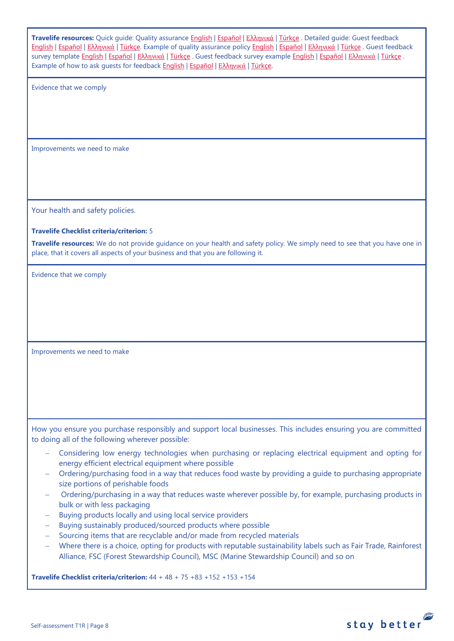| Travelife resources: Quick guide: Quality assurance English   Εspañol   Ελληνικά   Türkçe . Detailed guide: Guest feedback<br>English   Español   Ελληνικά   Türkçe. Example of quality assurance policy English   Español   Ελληνικά   Türkçe. Guest feedback<br>survey template English   Español   Ελληνικά   Türkçe . Guest feedback survey example English   Español   Ελληνικά   Türkçe .<br>Example of how to ask guests for feedback English   Español   Ελληνικά   Türkce. |
|-------------------------------------------------------------------------------------------------------------------------------------------------------------------------------------------------------------------------------------------------------------------------------------------------------------------------------------------------------------------------------------------------------------------------------------------------------------------------------------|
| Evidence that we comply                                                                                                                                                                                                                                                                                                                                                                                                                                                             |
|                                                                                                                                                                                                                                                                                                                                                                                                                                                                                     |
|                                                                                                                                                                                                                                                                                                                                                                                                                                                                                     |
|                                                                                                                                                                                                                                                                                                                                                                                                                                                                                     |
| Improvements we need to make                                                                                                                                                                                                                                                                                                                                                                                                                                                        |
|                                                                                                                                                                                                                                                                                                                                                                                                                                                                                     |
|                                                                                                                                                                                                                                                                                                                                                                                                                                                                                     |
|                                                                                                                                                                                                                                                                                                                                                                                                                                                                                     |
| Your health and safety policies.                                                                                                                                                                                                                                                                                                                                                                                                                                                    |
|                                                                                                                                                                                                                                                                                                                                                                                                                                                                                     |
| <b>Travelife Checklist criteria/criterion: 5</b>                                                                                                                                                                                                                                                                                                                                                                                                                                    |
| Travelife resources: We do not provide quidance on your health and safety policy. We simply need to see that you have one in<br>place, that it covers all aspects of your business and that you are following it.                                                                                                                                                                                                                                                                   |
| Evidence that we comply                                                                                                                                                                                                                                                                                                                                                                                                                                                             |
|                                                                                                                                                                                                                                                                                                                                                                                                                                                                                     |
|                                                                                                                                                                                                                                                                                                                                                                                                                                                                                     |
|                                                                                                                                                                                                                                                                                                                                                                                                                                                                                     |
|                                                                                                                                                                                                                                                                                                                                                                                                                                                                                     |
| Improvements we need to make                                                                                                                                                                                                                                                                                                                                                                                                                                                        |
|                                                                                                                                                                                                                                                                                                                                                                                                                                                                                     |
|                                                                                                                                                                                                                                                                                                                                                                                                                                                                                     |
|                                                                                                                                                                                                                                                                                                                                                                                                                                                                                     |
|                                                                                                                                                                                                                                                                                                                                                                                                                                                                                     |
| How you ensure you purchase responsibly and support local businesses. This includes ensuring you are committed<br>to doing all of the following wherever possible:                                                                                                                                                                                                                                                                                                                  |
| Considering low energy technologies when purchasing or replacing electrical equipment and opting for                                                                                                                                                                                                                                                                                                                                                                                |
| energy efficient electrical equipment where possible<br>Ordering/purchasing food in a way that reduces food waste by providing a guide to purchasing appropriate                                                                                                                                                                                                                                                                                                                    |
| size portions of perishable foods                                                                                                                                                                                                                                                                                                                                                                                                                                                   |
| Ordering/purchasing in a way that reduces waste wherever possible by, for example, purchasing products in<br>bulk or with less packaging                                                                                                                                                                                                                                                                                                                                            |
| Buying products locally and using local service providers                                                                                                                                                                                                                                                                                                                                                                                                                           |
| Buying sustainably produced/sourced products where possible                                                                                                                                                                                                                                                                                                                                                                                                                         |
| Sourcing items that are recyclable and/or made from recycled materials<br>-<br>Where there is a choice, opting for products with reputable sustainability labels such as Fair Trade, Rainforest                                                                                                                                                                                                                                                                                     |
| Alliance, FSC (Forest Stewardship Council), MSC (Marine Stewardship Council) and so on                                                                                                                                                                                                                                                                                                                                                                                              |
| <b>Travelife Checklist criteria/criterion:</b> $44 + 48 + 75 + 83 + 152 + 153 + 154$                                                                                                                                                                                                                                                                                                                                                                                                |

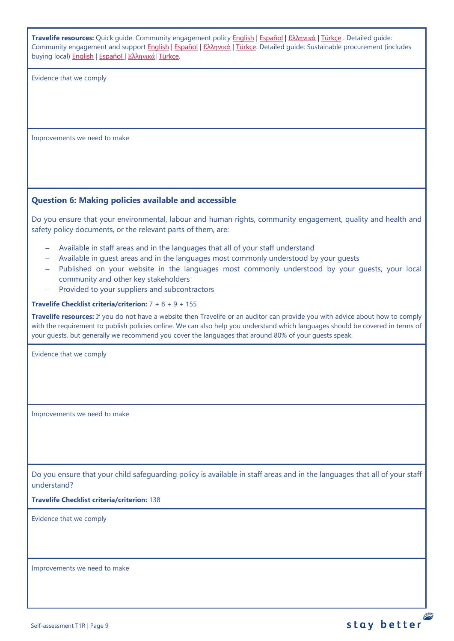**Travelife resources:** Quick guide: Community engagement policy [English](https://travelifestaybetter.com/wp-content/uploads/2019/02/7-Quick-Guide-Community-Engagement.pdf) | [Español](https://travelifestaybetter.com/wp-content/uploads/2019/02/7-ES-Quick-Guide-Community-Engagement.pdf) | Ελλ[ηνικά](https://travelifestaybetter.com/wp-content/uploads/2020/07/34-Quick-Guide-Community-Engagement-GR.pdf) | [Türkçe](https://travelifestaybetter.com/wp-content/uploads/2020/08/7-Quick-Guide-Community-Engagement-TR-7-Hizli-Kilavuz-Toplum-Uyum-Politikasi.pdf) . Detailed guide: Community engagement and suppor[t English](https://travelifestaybetter.com/wp-content/uploads/2019/02/7-Detailed-Guide-Community-Engagement.pdf) | [Español](https://travelifestaybetter.com/wp-content/uploads/2019/02/7-ES-Detailed-Guide-Community-Engagement.pdf) | Ελλ[ηνικά](https://travelifestaybetter.com/wp-content/uploads/2020/11/7-GR-Detailed-Guide-Community-Engagement.pdf) | [Türkçe.](https://travelifestaybetter.com/wp-content/uploads/2021/01/7-Detailed-Guide-Community-Engagement-TR-Toplum-Katilimi-ve-Destegi-Detayli-Kilavuz.pdf) Detailed guide: Sustainable procurement (includes buying local[\) English](https://travelifestaybetter.com/wp-content/uploads/2019/02/22-Detailed-Guide-Sustainable-Procurement.pdf) | [Español](https://travelifestaybetter.com/wp-content/uploads/2019/03/22-ES-Detailed-Guide-Sustainable-Procurement.pdf) | Ελλ[ηνικά](https://travelifestaybetter.com/wp-content/uploads/2021/01/22-GR-Detailed-Guide-Sustainable-Procurement.pdf)| [Türkçe.](https://travelifestaybetter.com/wp-content/uploads/2021/01/22-Detailed-Guide-Sustainable-Procurement-TR-Surdurulebilir-Tedarik-Detayli-Kilavuz.pdf)

Evidence that we comply

Improvements we need to make

# <span id="page-8-0"></span>**Question 6: Making policies available and accessible**

Do you ensure that your environmental, labour and human rights, community engagement, quality and health and safety policy documents, or the relevant parts of them, are:

- − Available in staff areas and in the languages that all of your staff understand
- − Available in guest areas and in the languages most commonly understood by your guests
- − Published on your website in the languages most commonly understood by your guests, your local community and other key stakeholders
- Provided to your suppliers and subcontractors

#### **Travelife Checklist criteria/criterion:** 7 + 8 + 9 + 155

**Travelife resources:** If you do not have a website then Travelife or an auditor can provide you with advice about how to comply with the requirement to publish policies online. We can also help you understand which languages should be covered in terms of your guests, but generally we recommend you cover the languages that around 80% of your guests speak.

Evidence that we comply

Improvements we need to make

Do you ensure that your child safeguarding policy is available in staff areas and in the languages that all of your staff understand?

**Travelife Checklist criteria/criterion:** 138

Evidence that we comply

Improvements we need to make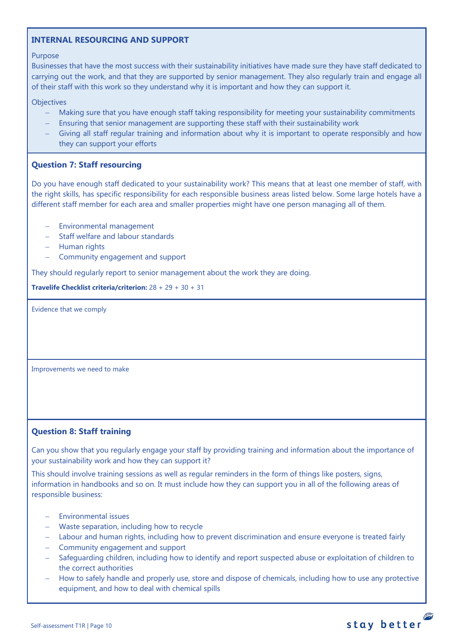# <span id="page-9-0"></span>**INTERNAL RESOURCING AND SUPPORT**

#### Purpose

Businesses that have the most success with their sustainability initiatives have made sure they have staff dedicated to carrying out the work, and that they are supported by senior management. They also regularly train and engage all of their staff with this work so they understand why it is important and how they can support it.

# **Objectives**

- Making sure that you have enough staff taking responsibility for meeting your sustainability commitments
- Ensuring that senior management are supporting these staff with their sustainability work
- Giving all staff regular training and information about why it is important to operate responsibly and how they can support your efforts

# <span id="page-9-1"></span>**Question 7: Staff resourcing**

Do you have enough staff dedicated to your sustainability work? This means that at least one member of staff, with the right skills, has specific responsibility for each responsible business areas listed below. Some large hotels have a different staff member for each area and smaller properties might have one person managing all of them.

- − Environmental management
- − Staff welfare and labour standards
- − Human rights
- − Community engagement and support

They should regularly report to senior management about the work they are doing.

**Travelife Checklist criteria/criterion:** 28 + 29 + 30 + 31

Evidence that we comply

Improvements we need to make

# <span id="page-9-2"></span>**Question 8: Staff training**

Can you show that you regularly engage your staff by providing training and information about the importance of your sustainability work and how they can support it?

This should involve training sessions as well as regular reminders in the form of things like posters, signs, information in handbooks and so on. It must include how they can support you in all of the following areas of responsible business:

- − Environmental issues
- − Waste separation, including how to recycle
- − Labour and human rights, including how to prevent discrimination and ensure everyone is treated fairly
- − Community engagement and support
- − Safeguarding children, including how to identify and report suspected abuse or exploitation of children to the correct authorities
- How to safely handle and properly use, store and dispose of chemicals, including how to use any protective equipment, and how to deal with chemical spills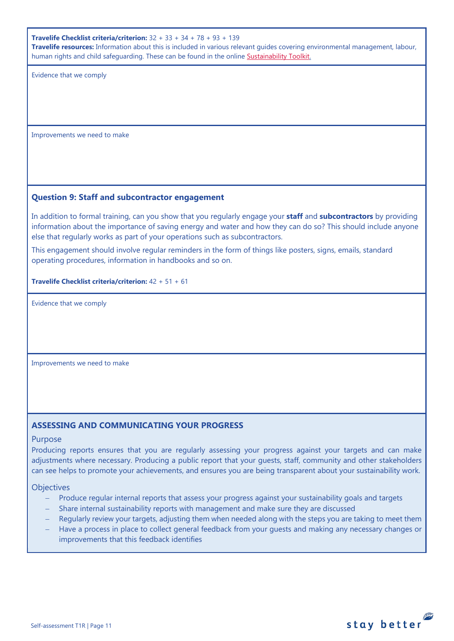**Travelife Checklist criteria/criterion:** 32 + 33 + 34 + 78 + 93 + 139

**Travelife resources:** Information about this is included in various relevant guides covering environmental management, labour, human rights and child safeguarding. These can be found in the online [Sustainability Toolkit.](https://travelifestaybetter.com/accommodation-member-zone/)

Evidence that we comply

Improvements we need to make

# <span id="page-10-0"></span>**Question 9: Staff and subcontractor engagement**

In addition to formal training, can you show that you regularly engage your **staff** and **subcontractors** by providing information about the importance of saving energy and water and how they can do so? This should include anyone else that regularly works as part of your operations such as subcontractors.

This engagement should involve regular reminders in the form of things like posters, signs, emails, standard operating procedures, information in handbooks and so on.

**Travelife Checklist criteria/criterion:** 42 + 51 + 61

Evidence that we comply

Improvements we need to make

# **ASSESSING AND COMMUNICATING YOUR PROGRESS**

## Purpose

Producing reports ensures that you are regularly assessing your progress against your targets and can make adjustments where necessary. Producing a public report that your guests, staff, community and other stakeholders can see helps to promote your achievements, and ensures you are being transparent about your sustainability work.

# **Objectives**

- Produce regular internal reports that assess your progress against your sustainability goals and targets
- − Share internal sustainability reports with management and make sure they are discussed
- Regularly review your targets, adjusting them when needed along with the steps you are taking to meet them
- Have a process in place to collect general feedback from your guests and making any necessary changes or improvements that this feedback identifies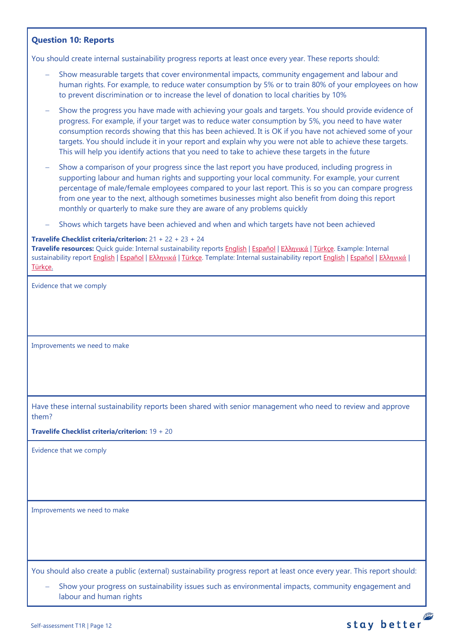# <span id="page-11-0"></span>**Question 10: Reports**

You should create internal sustainability progress reports at least once every year. These reports should:

- Show measurable targets that cover environmental impacts, community engagement and labour and human rights. For example, to reduce water consumption by 5% or to train 80% of your employees on how to prevent discrimination or to increase the level of donation to local charities by 10%
- Show the progress you have made with achieving your goals and targets. You should provide evidence of progress. For example, if your target was to reduce water consumption by 5%, you need to have water consumption records showing that this has been achieved. It is OK if you have not achieved some of your targets. You should include it in your report and explain why you were not able to achieve these targets. This will help you identify actions that you need to take to achieve these targets in the future
- Show a comparison of your progress since the last report you have produced, including progress in supporting labour and human rights and supporting your local community. For example, your current percentage of male/female employees compared to your last report. This is so you can compare progress from one year to the next, although sometimes businesses might also benefit from doing this report monthly or quarterly to make sure they are aware of any problems quickly
- Shows which targets have been achieved and when and which targets have not been achieved

#### **Travelife Checklist criteria/criterion:** 21 + 22 + 23 + 24

**Travelife resources:** Quick guide: Internal sustainability reports [English](https://travelifestaybetter.com/wp-content/uploads/2019/02/2-Quick-Guide-Internal-Sustainability-Report.pdf) | [Español](https://travelifestaybetter.com/wp-content/uploads/2019/02/2-ES-Quick-Guide-Internal-Sustainability-Report.pdf) | Ελλ[ηνικά](https://travelifestaybetter.com/wp-content/uploads/2020/02/26-Quick-Guide-Internal-Sustainability-Report-GR.pdf) [| Türkçe.](https://travelifestaybetter.com/wp-content/uploads/2020/12/2-Quick-Guide-Internal-Sustainability-Report-TR-Hizli-Kilavuz-Sirket-Ici-Surdurulebilirlik-Raporu.pdf) Example: Internal sustainability report [English](https://travelifestaybetter.com/wp-content/uploads/2020/12/2-Example-Internal-Sustainability-Report-V1.1.pdf) | [Español](https://travelifestaybetter.com/wp-content/uploads/2019/02/2-ES-Example-Internal-Sustainability-Report.pdf) | Ελλ[ηνικά](https://travelifestaybetter.com/wp-content/uploads/2020/02/28-Example-Internal-Sustainability-Report-GR.pdf) [| Türkçe.](https://travelifestaybetter.com/wp-content/uploads/2020/12/2-Example-Internal-Sustainability-Report-TR-Ornek-Sirket-Ici-Surdurulebilirlik-Raporu.pdf) Template: Internal sustainability report [English](https://travelifestaybetter.com/wp-content/uploads/2020/12/2-Template-Internal-Sustainability-Report-V1.1.docx) | [Español](https://travelifestaybetter.com/wp-content/uploads/2020/12/2-ES-Template-Internal-Sustainability-Report-V1.1.docx) | Ελλ[ηνικά](https://travelifestaybetter.com/wp-content/uploads/2020/12/2-GR-Template-Internal-Sustainability-Report-V1.1.docx) | [Türkçe.](https://travelifestaybetter.com/wp-content/uploads/2020/12/2-Template-Internal-Sustainability-Report-TRSablon-Sirket-Ici-Surdurulebilirlik-Raporu.docx)

Evidence that we comply

Improvements we need to make

Have these internal sustainability reports been shared with senior management who need to review and approve them?

**Travelife Checklist criteria/criterion:** 19 + 20

Evidence that we comply

Improvements we need to make

You should also create a public (external) sustainability progress report at least once every year. This report should:

Show your progress on sustainability issues such as environmental impacts, community engagement and labour and human rights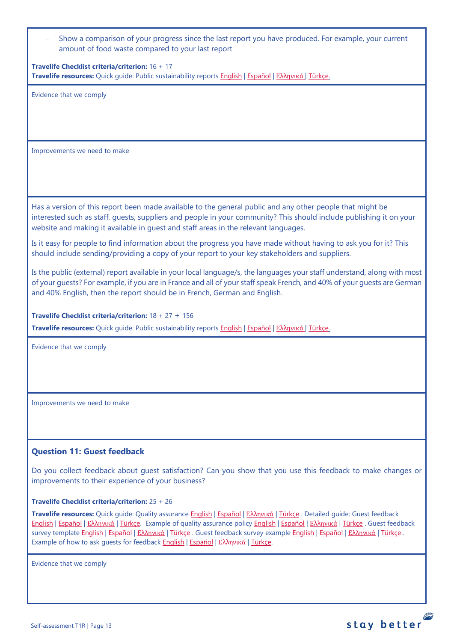| - Show a comparison of your progress since the last report you have produced. For example, your current |
|---------------------------------------------------------------------------------------------------------|
| amount of food waste compared to your last report                                                       |

**Travelife Checklist criteria/criterion:** 16 + 17 **Travelife resources:** Quick guide: Public sustainability reports [English](https://travelifestaybetter.com/wp-content/uploads/2020/12/2-Quick-Guide-Public-Sustinability-Report-V1.1.pdf) | [Español](https://travelifestaybetter.com/wp-content/uploads/2020/12/2-ES-Quick-Guide-Public-Sustinability-Report-V1.1.pdf) | Ελλ[ηνικά](https://travelifestaybetter.com/wp-content/uploads/2020/12/3-Quick-Guide-Public-Sustinability-Report-V1.1-GR.pdf) [| Türkçe.](https://travelifestaybetter.com/wp-content/uploads/2020/12/2-Quick-Guide-Public-Sustinability-Report-TR-Hizli-Kilavuz-Sirket-Disi-Surdurulebilirlik-Raporu.pdf)

Evidence that we comply

Improvements we need to make

Has a version of this report been made available to the general public and any other people that might be interested such as staff, guests, suppliers and people in your community? This should include publishing it on your website and making it available in guest and staff areas in the relevant languages.

Is it easy for people to find information about the progress you have made without having to ask you for it? This should include sending/providing a copy of your report to your key stakeholders and suppliers.

Is the public (external) report available in your local language/s, the languages your staff understand, along with most of your guests? For example, if you are in France and all of your staff speak French, and 40% of your guests are German and 40% English, then the report should be in French, German and English.

**Travelife Checklist criteria/criterion:** 18 + 27 + 156

**Travelife resources:** Quick guide: Public sustainability reports [English](https://travelifestaybetter.com/wp-content/uploads/2020/12/2-Quick-Guide-Public-Sustinability-Report-V1.1.pdf) | [Español](https://travelifestaybetter.com/wp-content/uploads/2020/12/2-ES-Quick-Guide-Public-Sustinability-Report-V1.1.pdf) | Ελλ[ηνικά](https://travelifestaybetter.com/wp-content/uploads/2020/12/3-Quick-Guide-Public-Sustinability-Report-V1.1-GR.pdf) [| Türkçe.](https://travelifestaybetter.com/wp-content/uploads/2020/12/2-Quick-Guide-Public-Sustinability-Report-TR-Hizli-Kilavuz-Sirket-Disi-Surdurulebilirlik-Raporu.pdf)

Evidence that we comply

Improvements we need to make

# <span id="page-12-0"></span>**Question 11: Guest feedback**

Do you collect feedback about guest satisfaction? Can you show that you use this feedback to make changes or improvements to their experience of your business?

#### **Travelife Checklist criteria/criterion:** 25 + 26

**Travelife resources:** Quick guide: Quality assurance [English](https://travelifestaybetter.com/wp-content/uploads/2019/02/4-Quick-Guide-Quality-Assurance.pdf) | [Español](https://travelifestaybetter.com/wp-content/uploads/2019/02/4-ES-Quick-Guide-Quality-Assurance.pdf) | Ελλ[ηνικά](https://travelifestaybetter.com/wp-content/uploads/2020/07/32-Quick-Guide-Quality-Assurance-GR.pdf) | [Türkçe](https://travelifestaybetter.com/wp-content/uploads/2020/11/4-Quick-Guide-Quality-Assurance-TR-4-Hizli-Kilavuz-Kalite-Guvence.pdf) . Detailed guide: Guest feedback [English](https://travelifestaybetter.com/wp-content/uploads/2019/02/5-Detailed-Guide-Collecting-Guest-Feedback.pdf) | [Español](https://travelifestaybetter.com/wp-content/uploads/2019/02/5-ES-Detailed-Guide-Collecting-Guest-Feedback.pdf) | Ελλ[ηνικά](https://travelifestaybetter.com/wp-content/uploads/2021/01/5-GR-Detailed-Guide-Collecting-Guest-Feedback.pdf) | [Türkçe.](https://travelifestaybetter.com/wp-content/uploads/2021/01/5-Detailed-Guide-Collecting-Guest-Feedback-TR-Misafir-Geri-Bildirimlerini-Toplama-Detayli-Kilavuz.pdf) Example of quality assurance policy [English](https://travelifestaybetter.com/wp-content/uploads/2019/02/4-Example-Quality-Assurance-Policy.pdf) | [Español](https://travelifestaybetter.com/wp-content/uploads/2019/02/4-ES-Example-Quality-Assurance-Policy.pdf) | Ελλ[ηνικά](https://travelifestaybetter.com/wp-content/uploads/2020/07/33-Example-Quality-Assurance-Policy-GR.pdf) | [Türkçe](https://travelifestaybetter.com/wp-content/uploads/2020/08/4-Example-Quality-Assurance-Policy-TR-4-Ornek-Kalite-Guvence-Politikasi.pdf) . Guest feedback survey template [English](https://travelifestaybetter.com/wp-content/uploads/2019/02/5-Example-Guest-Feedback-Survey.pdf) | [Español](https://travelifestaybetter.com/wp-content/uploads/2019/02/5-ES-Example-Guest-Feedback-Survey.pdf) | Ελλ[ηνικά](https://travelifestaybetter.com/wp-content/uploads/2021/01/5-GR-Example-Guest-Feedback-Survey.pdf) | [Türkçe](https://travelifestaybetter.com/wp-content/uploads/2020/08/5-Example-Guest-Feedback-Survey-TR-5-Ornek-Misafir-Geri-Bildirim-Anketi.pdf) . Guest feedback survey example English | Español | Ελληνικά | Türkçe . Example of how to ask quests for feedback **English | [Español](https://travelifestaybetter.com/wp-content/uploads/2019/02/5-ES-Example-Guest-Feedback-Instructions-for-Guests.pdf) | Ελλ[ηνικά](https://travelifestaybetter.com/wp-content/uploads/2021/01/5-GR-Example-of-Feedback-Instructions-for-Guests.pdf) | [Türkçe.](https://travelifestaybetter.com/wp-content/uploads/2020/08/5-Example-of-Feedback-Insructions-for-Guests-TR-5-Ornek-Misafir-Geri-Bildirim-Talimati.pdf)** 

Evidence that we comply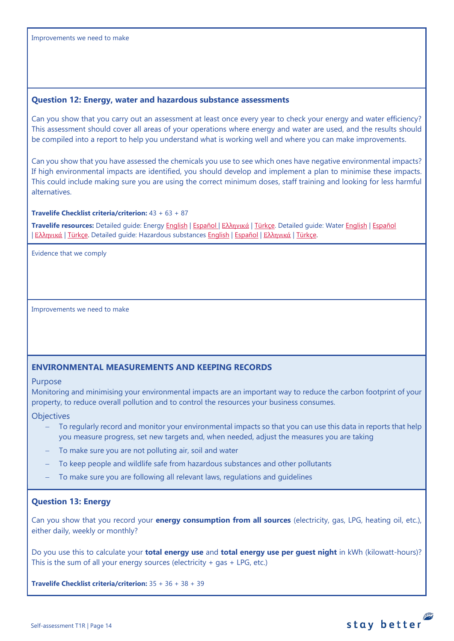## <span id="page-13-0"></span>**Question 12: Energy, water and hazardous substance assessments**

Can you show that you carry out an assessment at least once every year to check your energy and water efficiency? This assessment should cover all areas of your operations where energy and water are used, and the results should be compiled into a report to help you understand what is working well and where you can make improvements.

Can you show that you have assessed the chemicals you use to see which ones have negative environmental impacts? If high environmental impacts are identified, you should develop and implement a plan to minimise these impacts. This could include making sure you are using the correct minimum doses, staff training and looking for less harmful alternatives.

## **Travelife Checklist criteria/criterion:** 43 + 63 + 87

**Travelife resources:** Detailed guide: Energy [English](https://travelifestaybetter.com/wp-content/uploads/2019/02/17-Detailed-Guide-Energy.pdf) | [Español](https://travelifestaybetter.com/wp-content/uploads/2019/02/17-ES-Detailed-Guide-Energy.pdf) | Ελλ[ηνικά](https://travelifestaybetter.com/wp-content/uploads/2020/11/17-GR-Detailed-Guide-Energy.pdf) | [Türkçe.](https://travelifestaybetter.com/wp-content/uploads/2021/01/17-Detailed-Guide-Energy-TR-Enerji-Detayli-Kilavuz.pdf) Detailed guide: Water [English](https://travelifestaybetter.com/wp-content/uploads/2019/02/18-Detailed-Guide-Water.pdf) | [Español](https://travelifestaybetter.com/wp-content/uploads/2019/02/18-ES-Detailed-Guide-Water.pdf) | Ελλ[ηνικά](https://travelifestaybetter.com/wp-content/uploads/2021/01/20-GR-Detailed-Guide-Hazardous-Substances.pdf) | [Türkçe.](https://travelifestaybetter.com/wp-content/uploads/2021/01/20-Detailed-Guide-Hazardous-Substances-TR-Tehlikeli-Maddeler-Detayli-Kilavuz.pdf) Detailed guide: Hazardous substance[s English](https://travelifestaybetter.com/wp-content/uploads/2019/02/20-Detailed-Guide-Hazardous-Substances.pdf) | Εspañol | Ελληνικά | Türkçe.

Evidence that we comply

Improvements we need to make

#### <span id="page-13-1"></span>**ENVIRONMENTAL MEASUREMENTS AND KEEPING RECORDS**

#### Purpose

Monitoring and minimising your environmental impacts are an important way to reduce the carbon footprint of your property, to reduce overall pollution and to control the resources your business consumes.

#### **Objectives**

- To regularly record and monitor your environmental impacts so that you can use this data in reports that help you measure progress, set new targets and, when needed, adjust the measures you are taking
- To make sure you are not polluting air, soil and water
- To keep people and wildlife safe from hazardous substances and other pollutants
- To make sure you are following all relevant laws, regulations and guidelines

#### <span id="page-13-2"></span>**Question 13: Energy**

Can you show that you record your **energy consumption from all sources** (electricity, gas, LPG, heating oil, etc.), either daily, weekly or monthly?

Do you use this to calculate your **total energy use** and **total energy use per guest night** in kWh (kilowatt-hours)? This is the sum of all your energy sources (electricity  $+$  gas  $+$  LPG, etc.)

**Travelife Checklist criteria/criterion:** 35 + 36 + 38 + 39

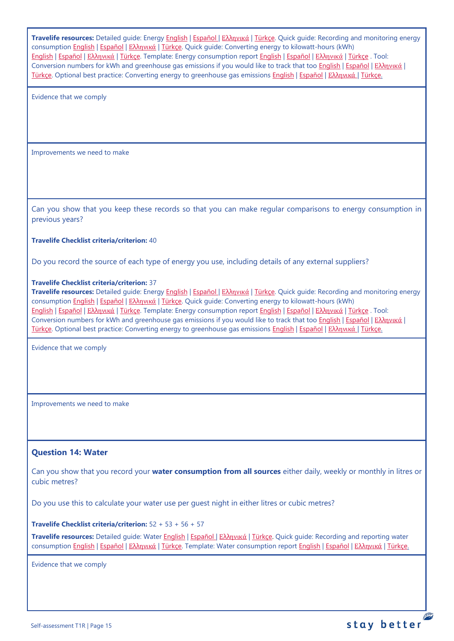**Travelife resources:** Detailed guide: Energy [English](https://travelifestaybetter.com/wp-content/uploads/2019/02/17-Detailed-Guide-Energy.pdf) | [Español](https://travelifestaybetter.com/wp-content/uploads/2019/02/17-ES-Detailed-Guide-Energy.pdf) | Ελλ[ηνικά](https://travelifestaybetter.com/wp-content/uploads/2020/11/17-GR-Detailed-Guide-Energy.pdf) | [Türkçe.](https://travelifestaybetter.com/wp-content/uploads/2021/01/17-Detailed-Guide-Energy-TR-Enerji-Detayli-Kilavuz.pdf) Quick guide: Recording and monitoring energy consumption [English](https://travelifestaybetter.com/wp-content/uploads/2019/02/17-Quick-Guide-Monitoring-Reporting-Energy-Use.pdf) | [Español](https://travelifestaybetter.com/wp-content/uploads/2019/02/17-ES-Quick-Guide-Monitoring-Reporting-Energy-Use.pdf) | Ελλ[ηνικά](https://travelifestaybetter.com/wp-content/uploads/2020/01/12-Quick-Guide-Monitoring-Reporting-Energy-Use-GR.pdf) | [Türkçe.](https://travelifestaybetter.com/wp-content/uploads/2020/10/17-Quick-Guide-Monitoring-Reporting-Energy-Use-TR-Enerjinin-Takibi-ve-Raporlanmasi-icin-Hizli-Kilavuz.pdf) Quick guide: Converting energy to kilowatt-hours (kWh) [English](https://travelifestaybetter.com/wp-content/uploads/2019/02/17-Quick-Guide-Converting-Energy-to-Kilowatt-Hours.pdf) | [Español](https://travelifestaybetter.com/wp-content/uploads/2019/03/17-ES-Quick-Guide-Converting-Energy-to-Kilowatt-Hours.pdf) | Ελλ[ηνικά](https://travelifestaybetter.com/wp-content/uploads/2020/01/13-Quick-Guide-Converting-Energy-to-Kilowatt-Hours-GR.pdf) | [Türkçe.](https://travelifestaybetter.com/wp-content/uploads/2020/10/17-Quick-Guide-Converting-Energy-to-Kilowatt-Hours-TR-Enerjinin-Kilovatsaata-Donusturulmesi-icin-Hizli-Kilavuz.pdf) Template: Energy consumption report [English](https://travelifestaybetter.com/wp-content/uploads/2019/02/17-Template-Recording-Energy-Consumption.xlsx) | [Español](https://travelifestaybetter.com/wp-content/uploads/2019/02/17-ES-Template-Recording-Energy-Consumption.xlsx) | Ελλ[ηνικά](https://travelifestaybetter.com/wp-content/uploads/2019/08/17-GR-Template-Recording-Energy-Consumption.xlsx) | [Türkçe](https://travelifestaybetter.com/wp-content/uploads/2020/07/17-Template-Recording-Energy-Consumption-TR-Enerji-T%C3%BCketiminin-Kayd%C4%B1-%C5%9Eablonu.xlsx) . Tool: Conversion numbers for kWh and greenhouse gas emissions if you would like to track that too [English](https://travelifestaybetter.com/wp-content/uploads/2019/02/17-Fuel-Conversion-Rates-to-kWh-and-CO2e.pdf) | [Español](https://travelifestaybetter.com/wp-content/uploads/2019/02/17-ES-Fuel-Conversion-to-kWh-and-CO2e.pdf) | Ελλ[ηνικά](https://travelifestaybetter.com/wp-content/uploads/2020/01/11-Fuel-Conversion-to-kWh-and-CO2e-GR.pdf) | [Türkçe.](https://travelifestaybetter.com/wp-content/uploads/2020/10/17-Fuel-Conversion-to-kWh-and-CO2e-TR-Yakitin-kWh-ve-CO2eye-Donusturulmesi.pdf) Optional best practice: Converting energy to greenhouse gas emissions [English](https://travelifestaybetter.com/wp-content/uploads/2019/02/17-Quick-Guide-Converting-Energy-to-CO2e.pdf) | [Español](https://travelifestaybetter.com/wp-content/uploads/2019/02/17-ES-Quick-Guide-Converting-Energy-to-CO2e.pdf) | Ελλ[ηνικά](https://travelifestaybetter.com/wp-content/uploads/2020/01/14-Quick-Guide-Converting-Energy-to-CO2e-GR.pdf) | [Türkçe.](https://travelifestaybetter.com/wp-content/uploads/2020/10/17-Quick-Guide-Converting-Energy-to-CO2e-TR-Enerjinin-CO2eye-Donusturulmesi-icin-Hizli-Kilavuz.pdf)

Evidence that we comply

Improvements we need to make

Can you show that you keep these records so that you can make regular comparisons to energy consumption in previous years?

#### **Travelife Checklist criteria/criterion:** 40

Do you record the source of each type of energy you use, including details of any external suppliers?

#### **Travelife Checklist criteria/criterion:** 37

**Travelife resources:** Detailed guide: Energy [English](https://travelifestaybetter.com/wp-content/uploads/2019/02/17-Detailed-Guide-Energy.pdf) | [Español](https://travelifestaybetter.com/wp-content/uploads/2019/02/17-ES-Detailed-Guide-Energy.pdf) | Ελλ[ηνικά](https://travelifestaybetter.com/wp-content/uploads/2020/11/17-GR-Detailed-Guide-Energy.pdf) | [Türkçe.](https://travelifestaybetter.com/wp-content/uploads/2021/01/17-Detailed-Guide-Energy-TR-Enerji-Detayli-Kilavuz.pdf) Quick guide: Recording and monitoring energy consumption [English](https://travelifestaybetter.com/wp-content/uploads/2019/02/17-Quick-Guide-Monitoring-Reporting-Energy-Use.pdf) | [Español](https://travelifestaybetter.com/wp-content/uploads/2019/02/17-ES-Quick-Guide-Monitoring-Reporting-Energy-Use.pdf) | Ελλ[ηνικά](https://travelifestaybetter.com/wp-content/uploads/2020/01/12-Quick-Guide-Monitoring-Reporting-Energy-Use-GR.pdf) | [Türkçe.](https://travelifestaybetter.com/wp-content/uploads/2020/10/17-Quick-Guide-Monitoring-Reporting-Energy-Use-TR-Enerjinin-Takibi-ve-Raporlanmasi-icin-Hizli-Kilavuz.pdf) Quick guide: Converting energy to kilowatt-hours (kWh) [English](https://travelifestaybetter.com/wp-content/uploads/2019/02/17-Quick-Guide-Converting-Energy-to-Kilowatt-Hours.pdf) | [Español](https://travelifestaybetter.com/wp-content/uploads/2019/03/17-ES-Quick-Guide-Converting-Energy-to-Kilowatt-Hours.pdf) | Ελλ[ηνικά](https://travelifestaybetter.com/wp-content/uploads/2020/01/13-Quick-Guide-Converting-Energy-to-Kilowatt-Hours-GR.pdf) | [Türkçe.](https://travelifestaybetter.com/wp-content/uploads/2020/10/17-Quick-Guide-Converting-Energy-to-Kilowatt-Hours-TR-Enerjinin-Kilovatsaata-Donusturulmesi-icin-Hizli-Kilavuz.pdf) Template: Energy consumption report [English](https://travelifestaybetter.com/wp-content/uploads/2019/02/17-Template-Recording-Energy-Consumption.xlsx) | [Español](https://travelifestaybetter.com/wp-content/uploads/2019/02/17-ES-Template-Recording-Energy-Consumption.xlsx) | Ελλ[ηνικά](https://travelifestaybetter.com/wp-content/uploads/2019/08/17-GR-Template-Recording-Energy-Consumption.xlsx) | [Türkçe](https://travelifestaybetter.com/wp-content/uploads/2020/07/17-Template-Recording-Energy-Consumption-TR-Enerji-T%C3%BCketiminin-Kayd%C4%B1-%C5%9Eablonu.xlsx) . Tool: Conversion numbers for kWh and greenhouse gas emissions if you would like to track that too [English](https://travelifestaybetter.com/wp-content/uploads/2019/02/17-Fuel-Conversion-Rates-to-kWh-and-CO2e.pdf) | Εspañol | Ελλ[ηνικά](https://travelifestaybetter.com/wp-content/uploads/2020/01/11-Fuel-Conversion-to-kWh-and-CO2e-GR.pdf) | [Türkçe.](https://travelifestaybetter.com/wp-content/uploads/2020/10/17-Fuel-Conversion-to-kWh-and-CO2e-TR-Yakitin-kWh-ve-CO2eye-Donusturulmesi.pdf) Optional best practice: Converting energy to greenhouse gas emissions [English](https://travelifestaybetter.com/wp-content/uploads/2019/02/17-Quick-Guide-Converting-Energy-to-CO2e.pdf) | [Español](https://travelifestaybetter.com/wp-content/uploads/2019/02/17-ES-Quick-Guide-Converting-Energy-to-CO2e.pdf) | Ελλ[ηνικά](https://travelifestaybetter.com/wp-content/uploads/2020/01/14-Quick-Guide-Converting-Energy-to-CO2e-GR.pdf) | [Türkçe.](https://travelifestaybetter.com/wp-content/uploads/2020/10/17-Quick-Guide-Converting-Energy-to-CO2e-TR-Enerjinin-CO2eye-Donusturulmesi-icin-Hizli-Kilavuz.pdf)

Evidence that we comply

Improvements we need to make

#### <span id="page-14-0"></span>**Question 14: Water**

Can you show that you record your **water consumption from all sources** either daily, weekly or monthly in litres or cubic metres?

Do you use this to calculate your water use per guest night in either litres or cubic metres?

**Travelife Checklist criteria/criterion:** 52 + 53 + 56 + 57

**Travelife resources:** Detailed guide: Water [English](https://travelifestaybetter.com/wp-content/uploads/2019/02/18-Detailed-Guide-Water.pdf) | [Español](https://travelifestaybetter.com/wp-content/uploads/2019/02/18-ES-Detailed-Guide-Water.pdf) | Ελλ[ηνικά](https://travelifestaybetter.com/wp-content/uploads/2020/11/18-GR-Detailed-Guide-Water.pdf) | [Türkçe.](https://travelifestaybetter.com/wp-content/uploads/2021/01/18-Detailed-Guide-Water-TR-Su-Detayli-Kilavuz.pdf) Quick guide: Recording and reporting water consumption [English](https://travelifestaybetter.com/wp-content/uploads/2019/02/18-Quick-Guide-Recording-Water-Consumption.pdf) | [Español](https://travelifestaybetter.com/wp-content/uploads/2019/02/18-ES-Quick-Guide-Recording-Water-Consumption.pdf) | Ελλ[ηνικά](https://travelifestaybetter.com/wp-content/uploads/2020/01/15-Quick-Guide-Recording-Water-Consumption-GR.pdf) | [Türkçe.](https://travelifestaybetter.com/wp-content/uploads/2020/10/18-Quick-Guide-Recording-Water-Consumption-TR-Su-Tuketiminin-Kayit-Edilmesi-icin-Hizli-Kilavuz.pdf) Template: Water consumption report [English](https://travelifestaybetter.com/wp-content/uploads/2019/02/18-Template-Recording-Water-Consumption.xlsx) | [Español](https://travelifestaybetter.com/wp-content/uploads/2019/02/18-ES-Template-Recording-Water-Consumption.xlsx) | Ελλ[ηνικά](https://travelifestaybetter.com/wp-content/uploads/2019/08/18-GR-Template-Recording-Water-Consumption.xlsx) | [Türkçe.](https://travelifestaybetter.com/wp-content/uploads/2020/07/18-Template-Recording-Water-Consumption-TR-Su-T%C3%BCketiminin-Kayd%C4%B1-%C5%9Eablonu.xlsx)

Evidence that we comply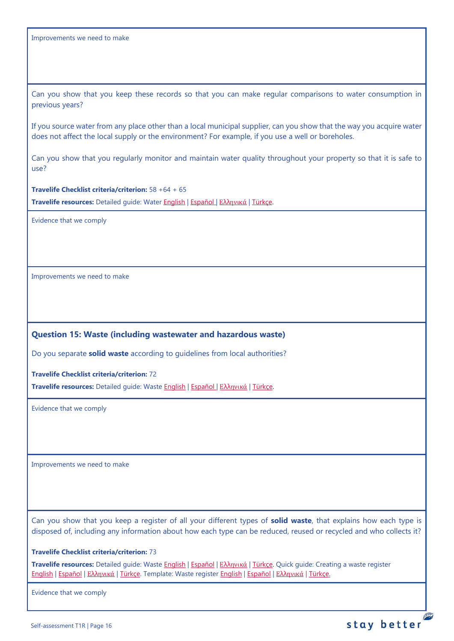Can you show that you keep these records so that you can make regular comparisons to water consumption in previous years?

If you source water from any place other than a local municipal supplier, can you show that the way you acquire water does not affect the local supply or the environment? For example, if you use a well or boreholes.

Can you show that you regularly monitor and maintain water quality throughout your property so that it is safe to use?

**Travelife Checklist criteria/criterion:** 58 +64 + 65

**Travelife resources:** Detailed guide: Water [English](https://travelifestaybetter.com/wp-content/uploads/2019/02/18-Detailed-Guide-Water.pdf) | [Español](https://travelifestaybetter.com/wp-content/uploads/2019/02/18-ES-Detailed-Guide-Water.pdf) | Ελλ[ηνικά](https://travelifestaybetter.com/wp-content/uploads/2020/11/18-GR-Detailed-Guide-Water.pdf) | [Türkçe.](https://travelifestaybetter.com/wp-content/uploads/2021/01/18-Detailed-Guide-Water-TR-Su-Detayli-Kilavuz.pdf)

Evidence that we comply

Improvements we need to make

# <span id="page-15-0"></span>**Question 15: Waste (including wastewater and hazardous waste)**

Do you separate **solid waste** according to guidelines from local authorities?

**Travelife Checklist criteria/criterion:** 72

**Travelife resources:** Detailed guide: Waste [English](https://travelifestaybetter.com/wp-content/uploads/2019/02/19-Detailed-Guide-Waste.pdf) | [Español](https://travelifestaybetter.com/wp-content/uploads/2019/02/19-ES-Detailed-Guide-Waste.pdf) | Ελλ[ηνικά](https://travelifestaybetter.com/wp-content/uploads/2021/01/19-GR-Detailed-Guide-Waste.pdf) | [Türkçe.](https://travelifestaybetter.com/wp-content/uploads/2021/01/19-Detailed-Guide-Waste-TR-Atik-Detayli-Kilavuz.pdf)

Evidence that we comply

Improvements we need to make

Can you show that you keep a register of all your different types of **solid waste**, that explains how each type is disposed of, including any information about how each type can be reduced, reused or recycled and who collects it?

#### **Travelife Checklist criteria/criterion:** 73

**Travelife resources:** Detailed guide: Waste [English](https://travelifestaybetter.com/wp-content/uploads/2019/02/19-Detailed-Guide-Waste.pdf) | [Español](https://travelifestaybetter.com/wp-content/uploads/2019/02/19-ES-Detailed-Guide-Waste.pdf) | Ελλ[ηνικά](https://travelifestaybetter.com/wp-content/uploads/2021/01/19-GR-Detailed-Guide-Waste.pdf) | [Türkçe.](https://travelifestaybetter.com/wp-content/uploads/2021/01/19-Detailed-Guide-Waste-TR-Atik-Detayli-Kilavuz.pdf) Quick guide: Creating a waste register [English](https://travelifestaybetter.com/wp-content/uploads/2019/02/19-Quick-Guide-Creating-a-Waste-Register-1.pdf) | [Español](https://travelifestaybetter.com/wp-content/uploads/2019/02/19-ES-Quick-Guide-Creating-a-Waste-Register.pdf) | Ελλ[ηνικά](https://travelifestaybetter.com/wp-content/uploads/2020/01/17-Quick-Guide-Creating-a-Waste-Register-GR.pdf) | [Türkçe.](https://travelifestaybetter.com/wp-content/uploads/2020/10/19-Quick-Guide-Creating-a-Waste-Register-TR-Atik-Kaydi-Olusturmak-icin-Hizli-Kilavuz.pdf) Template: Waste register [English](https://travelifestaybetter.com/wp-content/uploads/2019/02/19-Template-Waste-Stream-Register.xlsx) | [Español](https://travelifestaybetter.com/wp-content/uploads/2019/02/19-ES-Template-Waste-Stream-Register.xlsx) | Ελλ[ηνικά](https://travelifestaybetter.com/19-gr-template-waste-stream-register/) | [Türkçe.](https://travelifestaybetter.com/wp-content/uploads/2020/07/19-Template-Waste-Stream-Register-TR-At%C4%B1k-%C3%87e%C5%9Fit-Kayd%C4%B1-%C5%9Eablonu.xlsx)

Evidence that we comply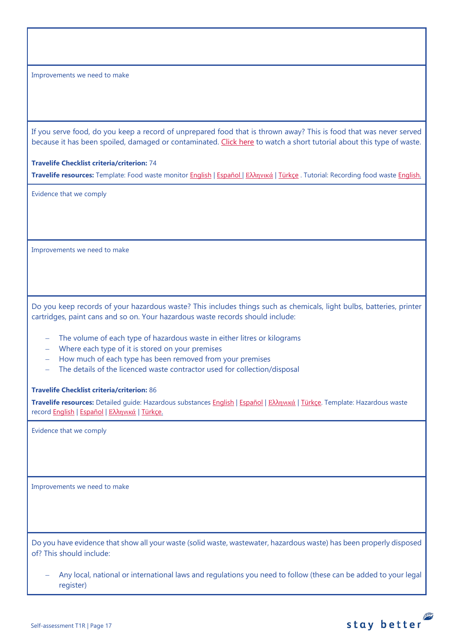If you serve food, do you keep a record of unprepared food that is thrown away? This is food that was never served because it has been spoiled, damaged or contaminated. [Click here](https://travelifestaybetter.com/wp-content/uploads/2020/05/Travelife-Tutorial-Recording-Food-Waste.mp4) to watch a short tutorial about this type of waste.

# **Travelife Checklist criteria/criterion:** 74

**Travelife resources:** Template: Food waste monitor [English](https://travelifestaybetter.com/wp-content/uploads/2019/03/19-Food-Waste-Monitoring-Template.xlsx) | [Español](https://travelifestaybetter.com/wp-content/uploads/2019/09/19-ES-Food-Waste-Monitoring-Template.xlsx) | Ελλ[ηνικά](https://travelifestaybetter.com/19-gr-food-waste-monitoring-template/) | [Türkçe](https://travelifestaybetter.com/wp-content/uploads/2020/07/19-Food-Waste-Monitoring-Template-TR-G%C4%B1da-At%C4%B1k-Takip-%C5%9Eablonu.xlsx) . Tutorial: Recording food waste [English.](https://travelifestaybetter.com/wp-content/uploads/2020/05/Travelife-Tutorial-Recording-Food-Waste.mp4)

Evidence that we comply

Improvements we need to make

Do you keep records of your hazardous waste? This includes things such as chemicals, light bulbs, batteries, printer cartridges, paint cans and so on. Your hazardous waste records should include:

- − The volume of each type of hazardous waste in either litres or kilograms
- − Where each type of it is stored on your premises
- − How much of each type has been removed from your premises
- − The details of the licenced waste contractor used for collection/disposal

#### **Travelife Checklist criteria/criterion:** 86

**Travelife resources:** Detailed guide: Hazardous substances [English](https://travelifestaybetter.com/wp-content/uploads/2019/02/20-Detailed-Guide-Hazardous-Substances.pdf) | [Español](https://travelifestaybetter.com/wp-content/uploads/2019/02/20-ES-Detailed-Guide-Hazardous-Substances.pdf) | Ελλ[ηνικά](https://travelifestaybetter.com/wp-content/uploads/2021/01/20-GR-Detailed-Guide-Hazardous-Substances.pdf) | [Türkçe.](https://travelifestaybetter.com/wp-content/uploads/2021/01/20-Detailed-Guide-Hazardous-Substances-TR-Tehlikeli-Maddeler-Detayli-Kilavuz.pdf) Template: Hazardous waste recor[d English](https://travelifestaybetter.com/wp-content/uploads/2019/03/20-Template-Hazardous-Waste-Record.xlsx) | [Español](https://travelifestaybetter.com/wp-content/uploads/2019/09/20-ES-Template-Hazardous-Waste-Record.xlsx) | Ελλ[ηνικά](https://travelifestaybetter.com/20-gr-template-hazardous-waste-record/) | [Türkçe.](https://travelifestaybetter.com/wp-content/uploads/2020/07/20-Template-Hazardous-Waste-Record-TR-Tehlikeli-At%C4%B1k-Kay%C4%B1t-%C5%9Eablonu.xlsx)

Evidence that we comply

Improvements we need to make

Do you have evidence that show all your waste (solid waste, wastewater, hazardous waste) has been properly disposed of? This should include:

− Any local, national or international laws and regulations you need to follow (these can be added to your legal register)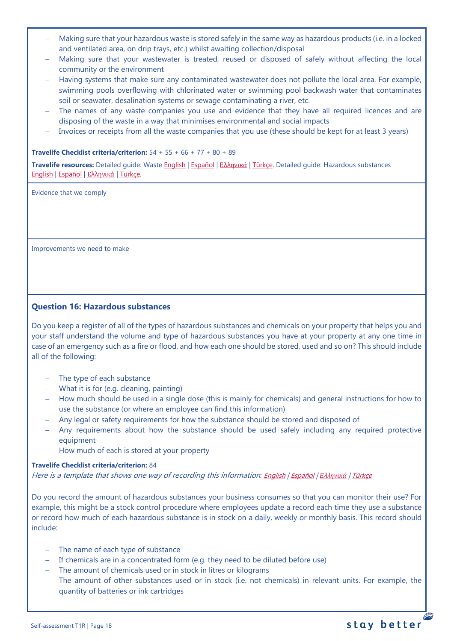- − Making sure that your hazardous waste is stored safely in the same way as hazardous products (i.e. in a locked and ventilated area, on drip trays, etc.) whilst awaiting collection/disposal
- − Making sure that your wastewater is treated, reused or disposed of safely without affecting the local community or the environment
- − Having systems that make sure any contaminated wastewater does not pollute the local area. For example, swimming pools overflowing with chlorinated water or swimming pool backwash water that contaminates soil or seawater, desalination systems or sewage contaminating a river, etc.
- The names of any waste companies you use and evidence that they have all required licences and are disposing of the waste in a way that minimises environmental and social impacts
- − Invoices or receipts from all the waste companies that you use (these should be kept for at least 3 years)

#### **Travelife Checklist criteria/criterion:** 54 + 55 + 66 + 77 + 80 + 89

**Travelife resources:** Detailed guide: Waste [English](https://travelifestaybetter.com/wp-content/uploads/2019/02/19-Detailed-Guide-Waste.pdf) | [Español](https://travelifestaybetter.com/wp-content/uploads/2019/02/19-ES-Detailed-Guide-Waste.pdf) | Ε[λλ](https://travelifestaybetter.com/wp-content/uploads/2021/01/19-GR-Detailed-Guide-Waste.pdf)[ηνικά](https://travelifestaybetter.com/wp-content/uploads/2021/01/19-GR-Detailed-Guide-Waste.pdf) | [Türkçe.](https://travelifestaybetter.com/wp-content/uploads/2021/01/19-Detailed-Guide-Waste-TR-Atik-Detayli-Kilavuz.pdf) Detailed guide: Hazardous substances [English](https://travelifestaybetter.com/wp-content/uploads/2019/02/20-Detailed-Guide-Hazardous-Substances.pdf) | [Español](https://travelifestaybetter.com/wp-content/uploads/2019/02/20-ES-Detailed-Guide-Hazardous-Substances.pdf) | Ελλ[ηνικά](https://travelifestaybetter.com/wp-content/uploads/2021/01/20-GR-Detailed-Guide-Hazardous-Substances.pdf) | [Türkçe.](https://travelifestaybetter.com/wp-content/uploads/2021/01/20-Detailed-Guide-Hazardous-Substances-TR-Tehlikeli-Maddeler-Detayli-Kilavuz.pdf)

Evidence that we comply

Improvements we need to make

# <span id="page-17-0"></span>**Question 16: Hazardous substances**

Do you keep a register of all of the types of hazardous substances and chemicals on your property that helps you and your staff understand the volume and type of hazardous substances you have at your property at any one time in case of an emergency such as a fire or flood, and how each one should be stored, used and so on? This should include all of the following:

- − The type of each substance
- − What it is for (e.g. cleaning, painting)
- − How much should be used in a single dose (this is mainly for chemicals) and general instructions for how to use the substance (or where an employee can find this information)
- − Any legal or safety requirements for how the substance should be stored and disposed of
- − Any requirements about how the substance should be used safely including any required protective equipment
- − How much of each is stored at your property

# **Travelife Checklist criteria/criterion:** 84

Here is a template that shows one way of recording this information: [English](https://travelifestaybetter.com/wp-content/uploads/2019/02/20-Member-Template-Hazardous-Substance-Register.xlsx) | [Español](https://travelifestaybetter.com/wp-content/uploads/2019/02/20-ES-Member-Template-Hazardous-Substance-Register.xlsx) | *Ε*λλ*[ηνικά](https://travelifestaybetter.com/20-gr-member-template-hazardous-substance-register/)* | [Türkçe](https://travelifestaybetter.com/wp-content/uploads/2020/07/20-Member-Template-Hazardous-Substance-Register-TR-Tehlikeli-Madde-Kayd%C4%B1-%C3%9Cye-%C5%9Eablonu.xlsx)

Do you record the amount of hazardous substances your business consumes so that you can monitor their use? For example, this might be a stock control procedure where employees update a record each time they use a substance or record how much of each hazardous substance is in stock on a daily, weekly or monthly basis. This record should include:

- − The name of each type of substance
- − If chemicals are in a concentrated form (e.g. they need to be diluted before use)
- − The amount of chemicals used or in stock in litres or kilograms
- The amount of other substances used or in stock (i.e. not chemicals) in relevant units. For example, the quantity of batteries or ink cartridges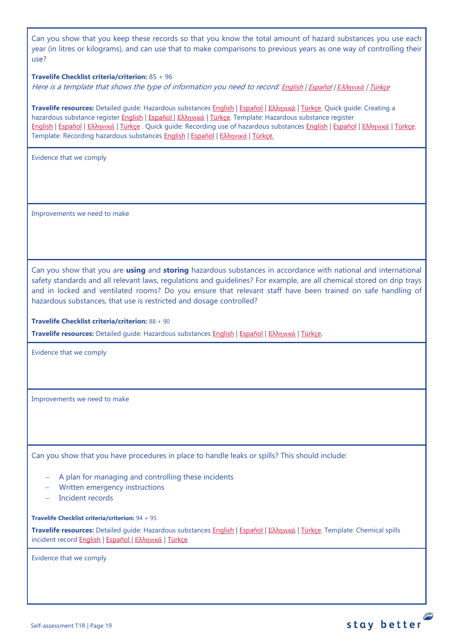Can you show that you keep these records so that you know the total amount of hazard substances you use each year (in litres or kilograms), and can use that to make comparisons to previous years as one way of controlling their use?

#### **Travelife Checklist criteria/criterion:** 85 + 96

Here is a template that shows the type of information you need to record: [English](https://travelifestaybetter.com/wp-content/uploads/2019/02/20-Member-Template-Recording-Use-of-Hazardous-Substances.xlsx) | [Español](https://travelifestaybetter.com/wp-content/uploads/2019/02/20-ES-Member-Template-Recording-Use-of-Hazardous-Substances.xlsx) | *Ε*λλ*[ηνικά](https://travelifestaybetter.com/wp-content/uploads/2019/08/20-GR-Member-Template-Recording-Use-of-Hazardous-Substances.xlsx)* | [Türkçe](https://travelifestaybetter.com/wp-content/uploads/2020/07/20-Member-Template-Recording-Use-of-Hazardous-Substances-TR-Tehlikeli-Madde-Kullan%C4%B1m-Kayd%C4%B1-%C3%9Cye-%C5%9Eablonu.xlsx)

**Travelife resources:** Detailed guide: Hazardous substances [English](https://travelifestaybetter.com/wp-content/uploads/2019/02/20-Detailed-Guide-Hazardous-Substances.pdf) | [Español](https://travelifestaybetter.com/wp-content/uploads/2019/02/20-ES-Detailed-Guide-Hazardous-Substances.pdf) | Ελλ[ηνικά](https://travelifestaybetter.com/wp-content/uploads/2021/01/20-GR-Detailed-Guide-Hazardous-Substances.pdf) | [Türkçe.](https://travelifestaybetter.com/wp-content/uploads/2021/01/20-Detailed-Guide-Hazardous-Substances-TR-Tehlikeli-Maddeler-Detayli-Kilavuz.pdf) Quick guide: Creating a hazardous substance register [English](https://travelifestaybetter.com/wp-content/uploads/2019/02/20-Quick-Guide-Creating-a-Hazardous-Substance-Register.pdf) | [Español](https://travelifestaybetter.com/wp-content/uploads/2019/02/20-ES-Quick-Guide-Creating-a-Hazardous-Substance-Register.pdf) | Ελλ[ηνικά](https://travelifestaybetter.com/wp-content/uploads/2020/01/19-Quick-Guide-Creating-a-Hazardous-Substance-Register-GR.pdf) | [Türkçe.](https://travelifestaybetter.com/wp-content/uploads/2020/10/20-Quick-Guide-Creating-a-Hazardous-Substance-Register-TR-Tehlikeli-Madde-Kaydi-Olusturmak-icin-Hizli-Kilavuz.pdf) Template: Hazardous substance register [English](https://travelifestaybetter.com/wp-content/uploads/2019/02/20-Member-Template-Hazardous-Substance-Register.xlsx) | [Español](https://travelifestaybetter.com/wp-content/uploads/2019/02/20-ES-Member-Template-Hazardous-Substance-Register.xlsx) | Ελλ[ηνικά](https://travelifestaybetter.com/20-gr-member-template-hazardous-substance-register/) | [Türkçe](https://travelifestaybetter.com/wp-content/uploads/2020/07/20-Member-Template-Hazardous-Substance-Register-TR-Tehlikeli-Madde-Kayd%C4%B1-%C3%9Cye-%C5%9Eablonu.xlsx) . Quick guide: Recording use of hazardous substance[s English](https://travelifestaybetter.com/wp-content/uploads/2019/02/20-Quick-Guide-Recording-Use-of-Hazardous-Substances.pdf) | [Español](https://travelifestaybetter.com/wp-content/uploads/2019/02/20-ES-Quick-Guide-Recording-Use-of-Hazardous-Substances.pdf) | Ελλ[ηνικά](https://travelifestaybetter.com/wp-content/uploads/2020/01/20-Quick-Guide-Recording-Use-of-Hazardous-Substances-GR.pdf) | [Türkçe.](https://travelifestaybetter.com/wp-content/uploads/2020/10/20-Quick-Guide-Recording-Use-of-Hazardous-Substances-TR-Tehlikeli-Maddelerin-Kullaniminin-Kaydi-icin-Hizli-Kilavuz.pdf) Template: Recording hazardous substances [English](https://travelifestaybetter.com/wp-content/uploads/2019/02/20-Member-Template-Recording-Use-of-Hazardous-Substances.xlsx) | [Español](https://travelifestaybetter.com/wp-content/uploads/2019/02/20-ES-Member-Template-Recording-Use-of-Hazardous-Substances.xlsx) | Ελλ[ηνικά](https://travelifestaybetter.com/20-gr-member-template-recording-use-of-hazardous-substances/) | [Türkçe.](https://travelifestaybetter.com/wp-content/uploads/2020/07/20-Member-Template-Recording-Use-of-Hazardous-Substances-TR-Tehlikeli-Madde-Kullan%C4%B1m-Kayd%C4%B1-%C3%9Cye-%C5%9Eablonu.xlsx)

Evidence that we comply

Improvements we need to make

Can you show that you are **using** and **storing** hazardous substances in accordance with national and international safety standards and all relevant laws, regulations and guidelines? For example, are all chemical stored on drip trays and in locked and ventilated rooms? Do you ensure that relevant staff have been trained on safe handling of hazardous substances, that use is restricted and dosage controlled?

**Travelife Checklist criteria/criterion:** 88 + 90

**Travelife resources:** Detailed guide: Hazardous substances [English](https://travelifestaybetter.com/wp-content/uploads/2019/02/20-Detailed-Guide-Hazardous-Substances.pdf) | [Español](https://travelifestaybetter.com/wp-content/uploads/2019/02/20-ES-Detailed-Guide-Hazardous-Substances.pdf) | Ελλ[ηνικά](https://travelifestaybetter.com/wp-content/uploads/2021/01/20-GR-Detailed-Guide-Hazardous-Substances.pdf) | [Türkçe.](https://travelifestaybetter.com/wp-content/uploads/2021/01/20-Detailed-Guide-Hazardous-Substances-TR-Tehlikeli-Maddeler-Detayli-Kilavuz.pdf)

Evidence that we comply

Improvements we need to make

Can you show that you have procedures in place to handle leaks or spills? This should include:

- A plan for managing and controlling these incidents
- − Written emergency instructions
- − Incident records

**Travelife Checklist criteria/criterion:** 94 + 95

**Travelife resources:** Detailed guide: Hazardous substances [English](https://travelifestaybetter.com/wp-content/uploads/2019/02/20-Detailed-Guide-Hazardous-Substances.pdf) | [Español](https://travelifestaybetter.com/wp-content/uploads/2019/02/20-ES-Detailed-Guide-Hazardous-Substances.pdf) | Ελλ[ηνικά](https://travelifestaybetter.com/wp-content/uploads/2021/01/20-GR-Detailed-Guide-Hazardous-Substances.pdf) | [Türkçe.](https://travelifestaybetter.com/wp-content/uploads/2021/01/20-Detailed-Guide-Hazardous-Substances-TR-Tehlikeli-Maddeler-Detayli-Kilavuz.pdf) Template: Chemical spills incident record **English | [Español](https://travelifestaybetter.com/wp-content/uploads/2019/09/20-ES-Template-Chemical-Spills-Incident-Record.xlsx) | Ελλ[ηνικά](https://travelifestaybetter.com/20-gr-template-chemical-spills-incident-record/) | Türkce** 

stay better

Evidence that we comply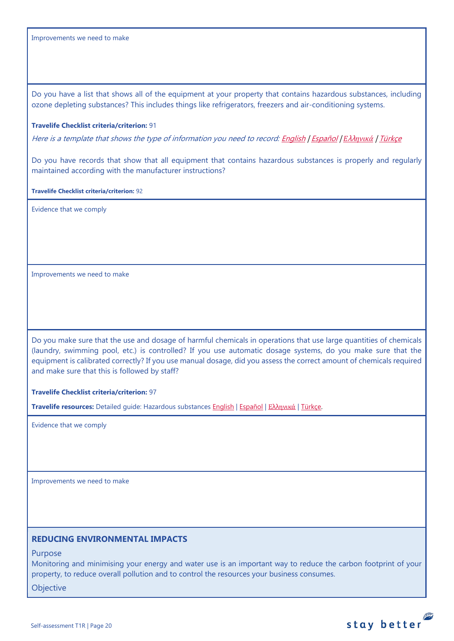Do you have a list that shows all of the equipment at your property that contains hazardous substances, including ozone depleting substances? This includes things like refrigerators, freezers and air-conditioning systems.

#### **Travelife Checklist criteria/criterion:** 91

Here is a template that shows the type of information you need to record[: English](https://travelifestaybetter.com/wp-content/uploads/2019/03/20-Template-List-of-Equipment-with-Hazardous-Substances.xlsx) | [Español](https://travelifestaybetter.com/wp-content/uploads/2020/08/20-ES-Template-List-of-Equipment-with-Hazardous-Substances.xlsx) | *Ε*λλ*[ηνικά](https://travelifestaybetter.com/wp-content/uploads/2019/08/20-GR-Template-List-of-Equipment-with-Hazardous-Substances_GR.xlsx)* | [Türkçe](https://travelifestaybetter.com/wp-content/uploads/2020/07/20-Template-List-of-Equipment-with-Hazardous-Substances-TR-Tehlikeli-Madde-i%C3%A7eren-Ekipman-Listesi-%C5%9Eablonu.xlsx)

Do you have records that show that all equipment that contains hazardous substances is properly and regularly maintained according with the manufacturer instructions?

**Travelife Checklist criteria/criterion:** 92

Evidence that we comply

Improvements we need to make

Do you make sure that the use and dosage of harmful chemicals in operations that use large quantities of chemicals (laundry, swimming pool, etc.) is controlled? If you use automatic dosage systems, do you make sure that the equipment is calibrated correctly? If you use manual dosage, did you assess the correct amount of chemicals required and make sure that this is followed by staff?

#### **Travelife Checklist criteria/criterion:** 97

**Travelife resources:** Detailed guide: Hazardous substances [English](https://travelifestaybetter.com/wp-content/uploads/2019/02/20-Detailed-Guide-Hazardous-Substances.pdf) | [Español](https://travelifestaybetter.com/wp-content/uploads/2019/02/20-ES-Detailed-Guide-Hazardous-Substances.pdf) | Ελλ[ηνικά](https://travelifestaybetter.com/wp-content/uploads/2021/01/20-GR-Detailed-Guide-Hazardous-Substances.pdf) | [Türkçe.](https://travelifestaybetter.com/wp-content/uploads/2021/01/20-Detailed-Guide-Hazardous-Substances-TR-Tehlikeli-Maddeler-Detayli-Kilavuz.pdf)

Evidence that we comply

Improvements we need to make

# <span id="page-19-0"></span>**REDUCING ENVIRONMENTAL IMPACTS**

Purpose

Monitoring and minimising your energy and water use is an important way to reduce the carbon footprint of your property, to reduce overall pollution and to control the resources your business consumes.

**Objective** 

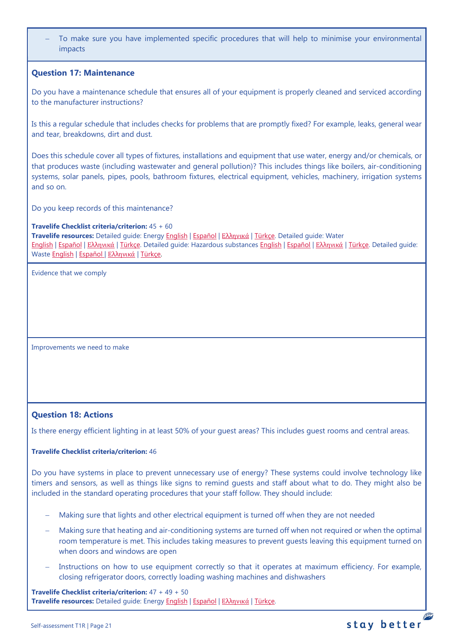To make sure you have implemented specific procedures that will help to minimise your environmental impacts

# <span id="page-20-0"></span>**Question 17: Maintenance**

Do you have a maintenance schedule that ensures all of your equipment is properly cleaned and serviced according to the manufacturer instructions?

Is this a regular schedule that includes checks for problems that are promptly fixed? For example, leaks, general wear and tear, breakdowns, dirt and dust.

Does this schedule cover all types of fixtures, installations and equipment that use water, energy and/or chemicals, or that produces waste (including wastewater and general pollution)? This includes things like boilers, air-conditioning systems, solar panels, pipes, pools, bathroom fixtures, electrical equipment, vehicles, machinery, irrigation systems and so on.

Do you keep records of this maintenance?

#### **Travelife Checklist criteria/criterion:** 45 + 60

**Travelife resources:** Detailed guide: Energy [English](https://travelifestaybetter.com/wp-content/uploads/2019/02/17-Detailed-Guide-Energy.pdf) | [Español](https://travelifestaybetter.com/wp-content/uploads/2019/02/17-ES-Detailed-Guide-Energy.pdf) | Ελλ[ηνικά](https://travelifestaybetter.com/wp-content/uploads/2020/11/17-GR-Detailed-Guide-Energy.pdf) | [Türkçe.](https://travelifestaybetter.com/wp-content/uploads/2021/01/17-Detailed-Guide-Energy-TR-Enerji-Detayli-Kilavuz.pdf) Detailed guide: Water [English](https://travelifestaybetter.com/wp-content/uploads/2019/02/18-Detailed-Guide-Water.pdf) | [Español](https://travelifestaybetter.com/wp-content/uploads/2019/02/18-ES-Detailed-Guide-Water.pdf) | Ελλ[ηνικά](https://travelifestaybetter.com/wp-content/uploads/2020/11/18-GR-Detailed-Guide-Water.pdf) | [Türkçe.](https://travelifestaybetter.com/wp-content/uploads/2021/01/18-Detailed-Guide-Water-TR-Su-Detayli-Kilavuz.pdf) Detailed guide: Hazardous substances [English](https://travelifestaybetter.com/wp-content/uploads/2019/02/20-Detailed-Guide-Hazardous-Substances.pdf) | [Español](https://travelifestaybetter.com/wp-content/uploads/2019/02/20-ES-Detailed-Guide-Hazardous-Substances.pdf) | Ελλ[ηνικά](https://travelifestaybetter.com/wp-content/uploads/2021/01/20-GR-Detailed-Guide-Hazardous-Substances.pdf) | [Türkçe.](https://travelifestaybetter.com/wp-content/uploads/2021/01/20-Detailed-Guide-Hazardous-Substances-TR-Tehlikeli-Maddeler-Detayli-Kilavuz.pdf) Detailed guide: Waste [English](https://travelifestaybetter.com/wp-content/uploads/2019/02/19-Detailed-Guide-Waste.pdf) | [Español](https://travelifestaybetter.com/wp-content/uploads/2019/02/19-ES-Detailed-Guide-Waste.pdf) | Ελλ[ηνικά](https://travelifestaybetter.com/wp-content/uploads/2021/01/19-GR-Detailed-Guide-Waste.pdf) | [Türkçe.](https://travelifestaybetter.com/wp-content/uploads/2021/01/19-Detailed-Guide-Waste-TR-Atik-Detayli-Kilavuz.pdf)

Evidence that we comply

Improvements we need to make

## <span id="page-20-1"></span>**Question 18: Actions**

Is there energy efficient lighting in at least 50% of your guest areas? This includes guest rooms and central areas.

## **Travelife Checklist criteria/criterion:** 46

Do you have systems in place to prevent unnecessary use of energy? These systems could involve technology like timers and sensors, as well as things like signs to remind guests and staff about what to do. They might also be included in the standard operating procedures that your staff follow. They should include:

- − Making sure that lights and other electrical equipment is turned off when they are not needed
- Making sure that heating and air-conditioning systems are turned off when not required or when the optimal room temperature is met. This includes taking measures to prevent guests leaving this equipment turned on when doors and windows are open
- Instructions on how to use equipment correctly so that it operates at maximum efficiency. For example, closing refrigerator doors, correctly loading washing machines and dishwashers

**Travelife Checklist criteria/criterion:** 47 + 49 + 50 **Travelife resources:** Detailed guide: Energy [English](https://travelifestaybetter.com/wp-content/uploads/2019/02/17-Detailed-Guide-Energy.pdf) | [Español](https://travelifestaybetter.com/wp-content/uploads/2019/02/17-ES-Detailed-Guide-Energy.pdf) | Ελλ[ηνικά](https://travelifestaybetter.com/wp-content/uploads/2020/11/17-GR-Detailed-Guide-Energy.pdf) | [Türkçe.](https://travelifestaybetter.com/wp-content/uploads/2021/01/17-Detailed-Guide-Energy-TR-Enerji-Detayli-Kilavuz.pdf)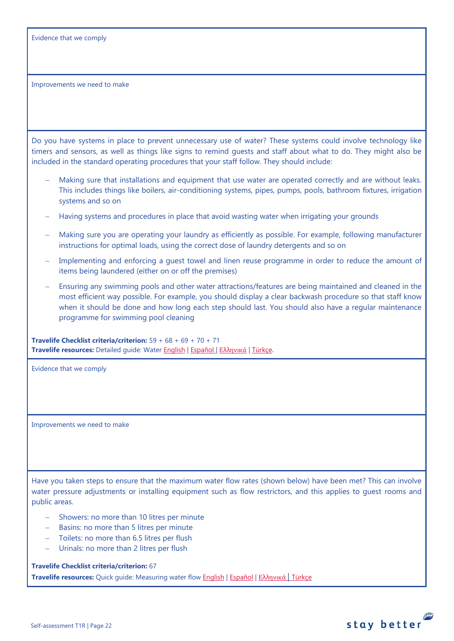Evidence that we comply

Improvements we need to make

Do you have systems in place to prevent unnecessary use of water? These systems could involve technology like timers and sensors, as well as things like signs to remind guests and staff about what to do. They might also be included in the standard operating procedures that your staff follow. They should include:

- Making sure that installations and equipment that use water are operated correctly and are without leaks. This includes things like boilers, air-conditioning systems, pipes, pumps, pools, bathroom fixtures, irrigation systems and so on
- − Having systems and procedures in place that avoid wasting water when irrigating your grounds
- Making sure you are operating your laundry as efficiently as possible. For example, following manufacturer instructions for optimal loads, using the correct dose of laundry detergents and so on
- Implementing and enforcing a guest towel and linen reuse programme in order to reduce the amount of items being laundered (either on or off the premises)
- − Ensuring any swimming pools and other water attractions/features are being maintained and cleaned in the most efficient way possible. For example, you should display a clear backwash procedure so that staff know when it should be done and how long each step should last. You should also have a regular maintenance programme for swimming pool cleaning

**Travelife Checklist criteria/criterion:** 59 + 68 + 69 + 70 + 71 **Travelife resources:** Detailed guide: Wate[r English](https://travelifestaybetter.com/wp-content/uploads/2019/02/18-Detailed-Guide-Water.pdf) | [Español](https://travelifestaybetter.com/wp-content/uploads/2019/02/18-ES-Detailed-Guide-Water.pdf) | Ελλ[ηνικά](https://travelifestaybetter.com/wp-content/uploads/2020/11/18-GR-Detailed-Guide-Water.pdf) | [Türkçe.](https://travelifestaybetter.com/wp-content/uploads/2021/01/18-Detailed-Guide-Water-TR-Su-Detayli-Kilavuz.pdf)

Evidence that we comply

Improvements we need to make

Have you taken steps to ensure that the maximum water flow rates (shown below) have been met? This can involve water pressure adjustments or installing equipment such as flow restrictors, and this applies to guest rooms and public areas.

stay better

- − Showers: no more than 10 litres per minute
- − Basins: no more than 5 litres per minute
- − Toilets: no more than 6.5 litres per flush
- Urinals: no more than 2 litres per flush

**Travelife Checklist criteria/criterion:** 67

**Travelife resources:** Quick guide: Measuring water flow [English](https://travelifestaybetter.com/wp-content/uploads/2019/02/18-Quick-Guide-Measuring-Water-Flow.pdf) | [Español](https://travelifestaybetter.com/wp-content/uploads/2019/02/18-ES-Quick-Guide-Measuring-Water-Flow.pdf) | Ελλ[ηνικά](https://travelifestaybetter.com/wp-content/uploads/2020/01/16-Quick-Guide-Measuring-Water-Flow-GR.pdf) | [Türkçe](https://travelifestaybetter.com/wp-content/uploads/2020/10/18-Quick-Guide-Measuring-Water-Flow-TR-Su-Debisinin-Olculmesi-icin-Hizli-Kilavuz.pdf)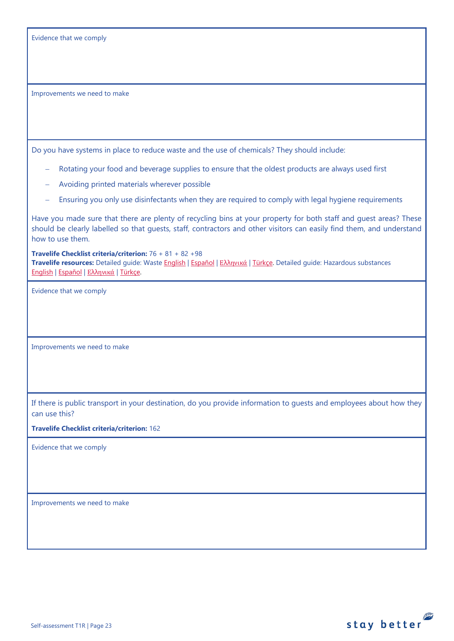| Evidence that we comply |  |  |  |
|-------------------------|--|--|--|
|-------------------------|--|--|--|

Do you have systems in place to reduce waste and the use of chemicals? They should include:

- Rotating your food and beverage supplies to ensure that the oldest products are always used first
- − Avoiding printed materials wherever possible
- − Ensuring you only use disinfectants when they are required to comply with legal hygiene requirements

Have you made sure that there are plenty of recycling bins at your property for both staff and guest areas? These should be clearly labelled so that guests, staff, contractors and other visitors can easily find them, and understand how to use them.

**Travelife Checklist criteria/criterion:** 76 + 81 + 82 +98 **Travelife resources:** Detailed guide: Waste [English](https://travelifestaybetter.com/wp-content/uploads/2019/02/19-Detailed-Guide-Waste.pdf) | [Español](https://travelifestaybetter.com/wp-content/uploads/2019/02/19-ES-Detailed-Guide-Waste.pdf) | Ελλ[ηνικά](https://travelifestaybetter.com/wp-content/uploads/2021/01/19-GR-Detailed-Guide-Waste.pdf) | [Türkçe.](https://travelifestaybetter.com/wp-content/uploads/2021/01/19-Detailed-Guide-Waste-TR-Atik-Detayli-Kilavuz.pdf) Detailed guide: Hazardous substances [English](https://travelifestaybetter.com/wp-content/uploads/2019/02/20-Detailed-Guide-Hazardous-Substances.pdf) | [Español](https://travelifestaybetter.com/wp-content/uploads/2019/02/20-ES-Detailed-Guide-Hazardous-Substances.pdf) | Ελλ[ηνικά](https://travelifestaybetter.com/wp-content/uploads/2021/01/20-GR-Detailed-Guide-Hazardous-Substances.pdf) | [Türkçe.](https://travelifestaybetter.com/wp-content/uploads/2021/01/20-Detailed-Guide-Hazardous-Substances-TR-Tehlikeli-Maddeler-Detayli-Kilavuz.pdf)

Evidence that we comply

Improvements we need to make

If there is public transport in your destination, do you provide information to guests and employees about how they can use this?

**Travelife Checklist criteria/criterion:** 162

Evidence that we comply

<span id="page-22-0"></span>Improvements we need to make

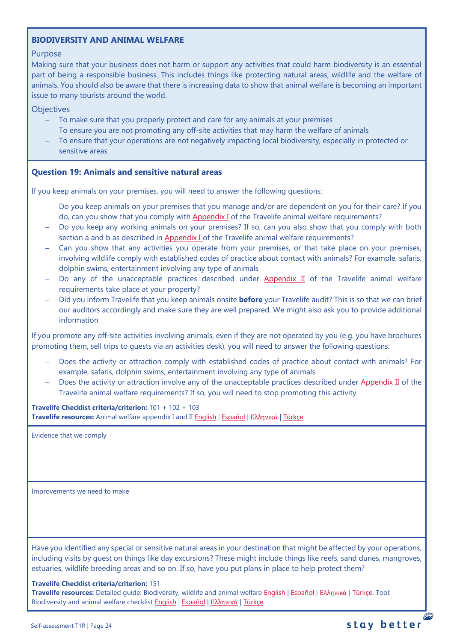# **BIODIVERSITY AND ANIMAL WELFARE**

# Purpose

Making sure that your business does not harm or support any activities that could harm biodiversity is an essential part of being a responsible business. This includes things like protecting natural areas, wildlife and the welfare of animals. You should also be aware that there is increasing data to show that animal welfare is becoming an important issue to many tourists around the world.

## **Objectives**

- − To make sure that you properly protect and care for any animals at your premises
- To ensure you are not promoting any off-site activities that may harm the welfare of animals
- To ensure that your operations are not negatively impacting local biodiversity, especially in protected or sensitive areas

# <span id="page-23-0"></span>**Question 19: Animals and sensitive natural areas**

If you keep animals on your premises, you will need to answer the following questions:

- Do you keep animals on your premises that you manage and/or are dependent on you for their care? If you do, can you show that you comply wit[h Appendix I](https://travelifestaybetter.com/travelife-standard-checklists/) of the Travelife animal welfare requirements?
- − Do you keep any working animals on your premises? If so, can you also show that you comply with both section a and b as described in [Appendix I o](https://travelifestaybetter.com/travelife-standard-checklists/)f the Travelife animal welfare requirements?
- − Can you show that any activities you operate from your premises, or that take place on your premises, involving wildlife comply with established codes of practice about contact with animals? For example, safaris, dolphin swims, entertainment involving any type of animals
- − Do any of the unacceptable practices described under [Appendix II](https://travelifestaybetter.com/travelife-standard-checklists/) of the Travelife animal welfare requirements take place at your property?
- − Did you inform Travelife that you keep animals onsite **before** your Travelife audit? This is so that we can brief our auditors accordingly and make sure they are well prepared. We might also ask you to provide additional information

If you promote any off-site activities involving animals, even if they are not operated by you (e.g. you have brochures promoting them, sell trips to guests via an activities desk), you will need to answer the following questions:

- Does the activity or attraction comply with established codes of practice about contact with animals? For example, safaris, dolphin swims, entertainment involving any type of animals
- Does the activity or attraction involve any of the unacceptable practices described under [Appendix II](https://travelifestaybetter.com/travelife-standard-checklists/) of the Travelife animal welfare requirements? If so, you will need to stop promoting this activity

**Travelife Checklist criteria/criterion:** 101 + 102 + 103 **Travelife resources:** Animal welfare appendix I and II [English](https://travelifestaybetter.com/wp-content/uploads/2020/12/Appendix-I-and-II-Animal-Welfare-Version-3.0-EN.pdf) | [Español](https://travelifestaybetter.com/wp-content/uploads/2020/12/Appendix-I-and-II-Animal-Welfare-Version-3.0-ES.pdf) | Ελλ[ηνικά](https://travelifestaybetter.com/wp-content/uploads/2020/12/GR-Appendix-I-and-II-Animal-Welfare-Version-3.0.pdf) | [Türkçe.](https://travelifestaybetter.com/wp-content/uploads/2020/12/Appendix-I-and-II-Animal-Welfare-Version-3.0-TR.pdf)

Evidence that we comply

Improvements we need to make

Have you identified any special or sensitive natural areas in your destination that might be affected by your operations, including visits by guest on things like day excursions? These might include things like reefs, sand dunes, mangroves, estuaries, wildlife breeding areas and so on. If so, have you put plans in place to help protect them?

#### **Travelife Checklist criteria/criterion:** 151

**Travelife resources:** Detailed guide: Biodiversity, wildlife and animal welfare [English](https://travelifestaybetter.com/wp-content/uploads/2021/01/21-Detailed-Guided-Biodiversity-and-Animal-Welfare-V2.0.pdf) | [Español](https://travelifestaybetter.com/wp-content/uploads/2021/01/21-ES-Detailed-Guided-Biodiversity-and-Animal-Welfare-V2.0.pdf) | Ελλ[ηνικά](https://travelifestaybetter.com/wp-content/uploads/2021/01/21-GR-Detailed-Guided-Biodiversity-and-Animal-Welfare.pdf) | [Türkçe.](https://travelifestaybetter.com/wp-content/uploads/2021/01/21-Detailed-Guided-Biodiversity-and-Animal-Welfare-V2.0-TR-Biyocesitlilik-ve-Hayvan-Refahi-Detayli-Kilavuz.pdf) Tool: Biodiversity and animal welfare checklist **English | [Español](https://travelifestaybetter.com/wp-content/uploads/2020/11/21-ES-Biodiversity-and-Animal-Welfare-Checklist-V2.0.docx) | Ελλ[ηνικά](https://travelifestaybetter.com/wp-content/uploads/2021/01/21-GR-Biodiversity-and-Animal-Welfare-Checklist.docx) | [Türkçe.](https://travelifestaybetter.com/wp-content/uploads/2020/10/21-Biodiversity-and-Animal-Welfare-Checklist-July-2021-TR-Biyocesitlilik-ve-Hayvan-Refahi-Kontrol-Listesi.docx)**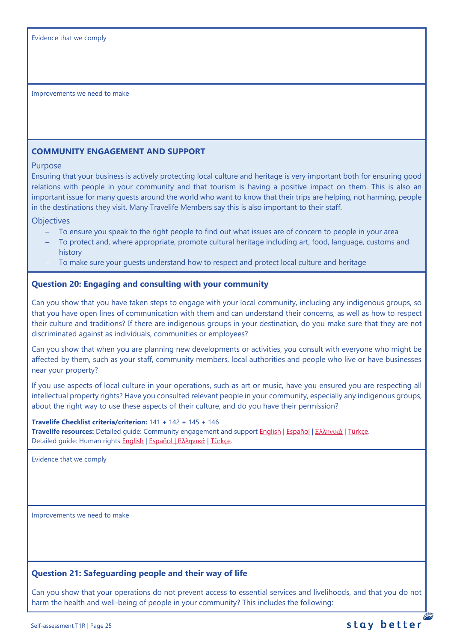# <span id="page-24-0"></span>**COMMUNITY ENGAGEMENT AND SUPPORT**

# Purpose

Ensuring that your business is actively protecting local culture and heritage is very important both for ensuring good relations with people in your community and that tourism is having a positive impact on them. This is also an important issue for many guests around the world who want to know that their trips are helping, not harming, people in the destinations they visit. Many Travelife Members say this is also important to their staff.

**Objectives** 

- To ensure you speak to the right people to find out what issues are of concern to people in your area
- − To protect and, where appropriate, promote cultural heritage including art, food, language, customs and history
- To make sure your guests understand how to respect and protect local culture and heritage

# <span id="page-24-1"></span>**Question 20: Engaging and consulting with your community**

Can you show that you have taken steps to engage with your local community, including any indigenous groups, so that you have open lines of communication with them and can understand their concerns, as well as how to respect their culture and traditions? If there are indigenous groups in your destination, do you make sure that they are not discriminated against as individuals, communities or employees?

Can you show that when you are planning new developments or activities, you consult with everyone who might be affected by them, such as your staff, community members, local authorities and people who live or have businesses near your property?

If you use aspects of local culture in your operations, such as art or music, have you ensured you are respecting all intellectual property rights? Have you consulted relevant people in your community, especially any indigenous groups, about the right way to use these aspects of their culture, and do you have their permission?

# **Travelife Checklist criteria/criterion:** 141 + 142 + 145 + 146 **Travelife resources:** Detailed guide: Community engagement and suppor[t English](https://travelifestaybetter.com/wp-content/uploads/2019/02/7-Detailed-Guide-Community-Engagement.pdf) | [Español](https://travelifestaybetter.com/wp-content/uploads/2019/02/7-ES-Detailed-Guide-Community-Engagement.pdf) | Ελλ[ηνικά](https://travelifestaybetter.com/wp-content/uploads/2020/11/7-GR-Detailed-Guide-Community-Engagement.pdf) | [Türkçe.](https://travelifestaybetter.com/wp-content/uploads/2021/01/7-Detailed-Guide-Community-Engagement-TR-Toplum-Katilimi-ve-Destegi-Detayli-Kilavuz.pdf) Detailed guide: Human rights [English](https://travelifestaybetter.com/wp-content/uploads/2021/01/8-Detailed-Guide-Human-Rights.pdf) | [Español](https://travelifestaybetter.com/wp-content/uploads/2021/01/8-ES-Detailed-Guide-Human-Rights.pdf) | Ελλ[ηνικά](https://travelifestaybetter.com/wp-content/uploads/2021/01/8-GR-Detailed-Guide-Human-Rights.pdf) | [Türkçe.](https://travelifestaybetter.com/wp-content/uploads/2021/01/8-Detailed-Guide-Human-Rights-TR-Insan-Haklari-Detayli-Kilavuz.pdf)

Evidence that we comply

Improvements we need to make

# <span id="page-24-2"></span>**Question 21: Safeguarding people and their way of life**

Can you show that your operations do not prevent access to essential services and livelihoods, and that you do not harm the health and well-being of people in your community? This includes the following: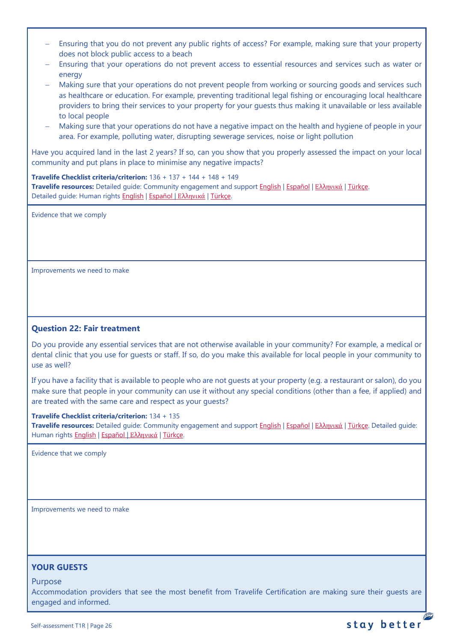- Ensuring that you do not prevent any public rights of access? For example, making sure that your property does not block public access to a beach
- − Ensuring that your operations do not prevent access to essential resources and services such as water or energy
- Making sure that your operations do not prevent people from working or sourcing goods and services such as healthcare or education. For example, preventing traditional legal fishing or encouraging local healthcare providers to bring their services to your property for your guests thus making it unavailable or less available to local people
- − Making sure that your operations do not have a negative impact on the health and hygiene of people in your area. For example, polluting water, disrupting sewerage services, noise or light pollution

Have you acquired land in the last 2 years? If so, can you show that you properly assessed the impact on your local community and put plans in place to minimise any negative impacts?

**Travelife Checklist criteria/criterion:** 136 + 137 + 144 + 148 + 149 **Travelife resources:** Detailed guide: Community engagement and suppor[t English](https://travelifestaybetter.com/wp-content/uploads/2019/02/7-Detailed-Guide-Community-Engagement.pdf) | [Español](https://travelifestaybetter.com/wp-content/uploads/2019/02/7-ES-Detailed-Guide-Community-Engagement.pdf) | Ελλ[ηνικά](https://travelifestaybetter.com/wp-content/uploads/2020/11/7-GR-Detailed-Guide-Community-Engagement.pdf) | [Türkçe.](https://travelifestaybetter.com/wp-content/uploads/2021/01/7-Detailed-Guide-Community-Engagement-TR-Toplum-Katilimi-ve-Destegi-Detayli-Kilavuz.pdf) Detailed guide: Human rights [English](https://travelifestaybetter.com/wp-content/uploads/2021/01/8-Detailed-Guide-Human-Rights.pdf) | [Español](https://travelifestaybetter.com/wp-content/uploads/2021/01/8-ES-Detailed-Guide-Human-Rights.pdf) | Ελλ[ηνικά](https://travelifestaybetter.com/wp-content/uploads/2021/01/8-GR-Detailed-Guide-Human-Rights.pdf) | [Türkçe.](https://travelifestaybetter.com/wp-content/uploads/2021/01/8-Detailed-Guide-Human-Rights-TR-Insan-Haklari-Detayli-Kilavuz.pdf)

Evidence that we comply

Improvements we need to make

# <span id="page-25-0"></span>**Question 22: Fair treatment**

Do you provide any essential services that are not otherwise available in your community? For example, a medical or dental clinic that you use for guests or staff. If so, do you make this available for local people in your community to use as well?

If you have a facility that is available to people who are not guests at your property (e.g. a restaurant or salon), do you make sure that people in your community can use it without any special conditions (other than a fee, if applied) and are treated with the same care and respect as your guests?

#### **Travelife Checklist criteria/criterion:** 134 + 135

**Travelife resources:** Detailed guide: Community engagement and suppor[t English](https://travelifestaybetter.com/wp-content/uploads/2019/02/7-Detailed-Guide-Community-Engagement.pdf) | [Español](https://travelifestaybetter.com/wp-content/uploads/2019/02/7-ES-Detailed-Guide-Community-Engagement.pdf) | Ελλ[ηνικά](https://travelifestaybetter.com/wp-content/uploads/2020/11/7-GR-Detailed-Guide-Community-Engagement.pdf) | [Türkçe.](https://travelifestaybetter.com/wp-content/uploads/2021/01/7-Detailed-Guide-Community-Engagement-TR-Toplum-Katilimi-ve-Destegi-Detayli-Kilavuz.pdf) Detailed guide: Human rights [English](https://travelifestaybetter.com/wp-content/uploads/2021/01/8-Detailed-Guide-Human-Rights.pdf) | [Español](https://travelifestaybetter.com/wp-content/uploads/2021/01/8-ES-Detailed-Guide-Human-Rights.pdf) | Ελλ[ηνικά](https://travelifestaybetter.com/wp-content/uploads/2021/01/8-GR-Detailed-Guide-Human-Rights.pdf) | [Türkçe.](https://travelifestaybetter.com/wp-content/uploads/2021/01/8-Detailed-Guide-Human-Rights-TR-Insan-Haklari-Detayli-Kilavuz.pdf)

Evidence that we comply

Improvements we need to make

# <span id="page-25-1"></span>**YOUR GUESTS**

Purpose

Accommodation providers that see the most benefit from Travelife Certification are making sure their guests are engaged and informed.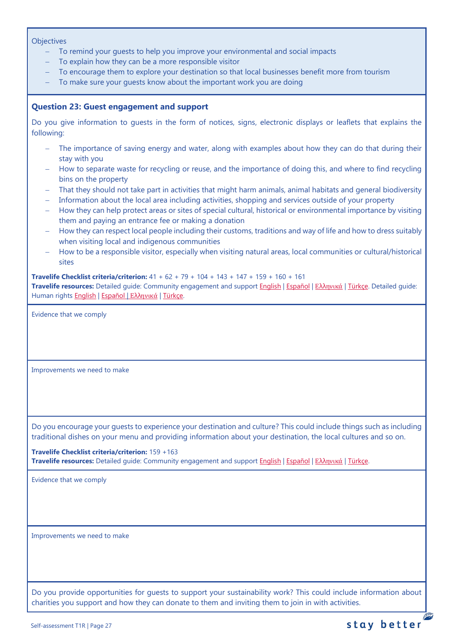#### **Objectives**

- To remind your guests to help you improve your environmental and social impacts
- To explain how they can be a more responsible visitor
- To encourage them to explore your destination so that local businesses benefit more from tourism
- − To make sure your guests know about the important work you are doing

# <span id="page-26-0"></span>**Question 23: Guest engagement and support**

Do you give information to guests in the form of notices, signs, electronic displays or leaflets that explains the following:

- The importance of saving energy and water, along with examples about how they can do that during their stay with you
- − How to separate waste for recycling or reuse, and the importance of doing this, and where to find recycling bins on the property
- − That they should not take part in activities that might harm animals, animal habitats and general biodiversity
- − Information about the local area including activities, shopping and services outside of your property
- − How they can help protect areas or sites of special cultural, historical or environmental importance by visiting them and paying an entrance fee or making a donation
- − How they can respect local people including their customs, traditions and way of life and how to dress suitably when visiting local and indigenous communities
- − How to be a responsible visitor, especially when visiting natural areas, local communities or cultural/historical sites

**Travelife Checklist criteria/criterion:** 41 + 62 + 79 + 104 + 143 + 147 + 159 + 160 + 161

**Travelife resources:** Detailed guide: Community engagement and suppor[t English](https://travelifestaybetter.com/wp-content/uploads/2019/02/7-Detailed-Guide-Community-Engagement.pdf) | [Español](https://travelifestaybetter.com/wp-content/uploads/2019/02/7-ES-Detailed-Guide-Community-Engagement.pdf) | Ελλ[ηνικά](https://travelifestaybetter.com/wp-content/uploads/2020/11/7-GR-Detailed-Guide-Community-Engagement.pdf) | [Türkçe.](https://travelifestaybetter.com/wp-content/uploads/2021/01/7-Detailed-Guide-Community-Engagement-TR-Toplum-Katilimi-ve-Destegi-Detayli-Kilavuz.pdf) Detailed guide: Human rights [English](https://travelifestaybetter.com/wp-content/uploads/2021/01/8-Detailed-Guide-Human-Rights.pdf) | [Español](https://travelifestaybetter.com/wp-content/uploads/2021/01/8-ES-Detailed-Guide-Human-Rights.pdf) | Ελλ[ηνικά](https://travelifestaybetter.com/wp-content/uploads/2021/01/8-GR-Detailed-Guide-Human-Rights.pdf) | [Türkçe.](https://travelifestaybetter.com/wp-content/uploads/2021/01/8-Detailed-Guide-Human-Rights-TR-Insan-Haklari-Detayli-Kilavuz.pdf)

Evidence that we comply

Improvements we need to make

Do you encourage your guests to experience your destination and culture? This could include things such as including traditional dishes on your menu and providing information about your destination, the local cultures and so on.

**Travelife Checklist criteria/criterion:** 159 +163 **Travelife resources:** Detailed guide: Community engagement and suppor[t English](https://travelifestaybetter.com/wp-content/uploads/2019/02/7-Detailed-Guide-Community-Engagement.pdf) | [Español](https://travelifestaybetter.com/wp-content/uploads/2019/02/7-ES-Detailed-Guide-Community-Engagement.pdf) | Ελλ[ηνικά](https://travelifestaybetter.com/wp-content/uploads/2020/11/7-GR-Detailed-Guide-Community-Engagement.pdf) | [Türkçe.](https://travelifestaybetter.com/wp-content/uploads/2021/01/7-Detailed-Guide-Community-Engagement-TR-Toplum-Katilimi-ve-Destegi-Detayli-Kilavuz.pdf)

Evidence that we comply

Improvements we need to make

Do you provide opportunities for guests to support your sustainability work? This could include information about charities you support and how they can donate to them and inviting them to join in with activities.

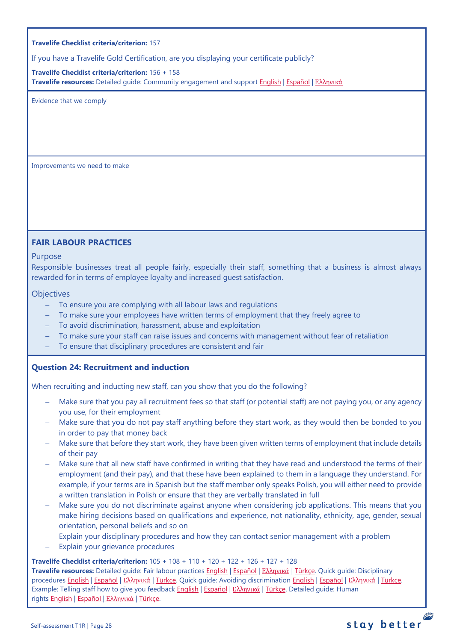If you have a Travelife Gold Certification, are you displaying your certificate publicly?

**Travelife Checklist criteria/criterion:** 156 + 158 **Travelife resources:** Detailed guide: Community engagement and suppor[t English](https://travelifestaybetter.com/wp-content/uploads/2019/02/7-Detailed-Guide-Community-Engagement.pdf) | [Español](https://travelifestaybetter.com/wp-content/uploads/2019/02/7-ES-Detailed-Guide-Community-Engagement.pdf) | Ελλ[ηνικά](https://travelifestaybetter.com/wp-content/uploads/2020/11/7-GR-Detailed-Guide-Community-Engagement.pdf)

Evidence that we comply

Improvements we need to make

# <span id="page-27-0"></span>**FAIR LABOUR PRACTICES**

## Purpose

Responsible businesses treat all people fairly, especially their staff, something that a business is almost always rewarded for in terms of employee loyalty and increased guest satisfaction.

# **Objectives**

- − To ensure you are complying with all labour laws and regulations
- − To make sure your employees have written terms of employment that they freely agree to
- − To avoid discrimination, harassment, abuse and exploitation
- − To make sure your staff can raise issues and concerns with management without fear of retaliation
- To ensure that disciplinary procedures are consistent and fair

# <span id="page-27-1"></span>**Question 24: Recruitment and induction**

When recruiting and inducting new staff, can you show that you do the following?

- − Make sure that you pay all recruitment fees so that staff (or potential staff) are not paying you, or any agency you use, for their employment
- − Make sure that you do not pay staff anything before they start work, as they would then be bonded to you in order to pay that money back
- − Make sure that before they start work, they have been given written terms of employment that include details of their pay
- − Make sure that all new staff have confirmed in writing that they have read and understood the terms of their employment (and their pay), and that these have been explained to them in a language they understand. For example, if your terms are in Spanish but the staff member only speaks Polish, you will either need to provide a written translation in Polish or ensure that they are verbally translated in full
- Make sure you do not discriminate against anyone when considering job applications. This means that you make hiring decisions based on qualifications and experience, not nationality, ethnicity, age, gender, sexual orientation, personal beliefs and so on
- Explain your disciplinary procedures and how they can contact senior management with a problem
- Explain your grievance procedures

# **Travelife Checklist criteria/criterion:** 105 + 108 + 110 + 120 + 122 + 126 + 127 + 128

**Travelife resources:** Detailed guide: Fair labour practices [English](https://travelifestaybetter.com/wp-content/uploads/2021/01/10-Detailed-Guide-Fair-Labour-Practices.pdf) | [Español](https://travelifestaybetter.com/wp-content/uploads/2021/01/10-ES-Detailed-Guide-Fair-Labour-Practices.pdf) | Ελλ[ηνικά](https://travelifestaybetter.com/wp-content/uploads/2021/01/10-GR-Detailed-Guide-Fair-Labour-Practices.pdf) | [Türkçe.](https://travelifestaybetter.com/wp-content/uploads/2021/01/10-Detailed-Guide-Fair-Labour-Practices-TR-Adil-Is-Gucu-Uygulamalari-Detayli-Kilavuz.pdf) Quick guide: Disciplinary procedures [English](https://travelifestaybetter.com/wp-content/uploads/2019/02/11-Quick-Guide-Disciplinary-Procedures.pdf) | [Español](https://travelifestaybetter.com/wp-content/uploads/2019/02/11-ES-Quick-Guide-Disciplinary-Procedures.pdf) | Ελλ[ηνικά](https://travelifestaybetter.com/wp-content/uploads/2020/07/36-Quick-Guide-Disciplinary-Procedures-GR.pdf) | [Türkçe.](https://travelifestaybetter.com/wp-content/uploads/2020/08/11-Quick-Guide-Disciplinary-Procedures-TR-11-Hizli-Kilavuz-Disiplin-Proseduru.pdf) Quick guide: Avoiding discrimination [English](https://travelifestaybetter.com/wp-content/uploads/2019/02/13-Quick-Guide-Avoiding-Workplace-Discrimination.pdf) | [Español](https://travelifestaybetter.com/wp-content/uploads/2019/02/13-ES-Quick-Guide-Avoiding-Workplace-Discrimination.pdf) | Ελλ[ηνικά](https://travelifestaybetter.com/wp-content/uploads/2020/07/38-Quick-Guide-Avoiding-Workplace-Discrimination-GR.pdf) | [Türkçe.](https://travelifestaybetter.com/wp-content/uploads/2020/10/13-Quick-Guide-Avoiding-Workplace-Discrimination-TR-Isyerinde-Ayrimciligi-Onlemek-icin-Hizli-Kilavuz.pdf) Example: Telling staff how to give you feedback [English](https://travelifestaybetter.com/wp-content/uploads/2019/02/6-Example-Feedback-Instructions-for-Staff.pdf) | [Español](https://travelifestaybetter.com/wp-content/uploads/2019/02/6-ES-Example-Feedback-Instructions-for-Staff.pdf) | Ελλ[ηνικά](https://travelifestaybetter.com/wp-content/uploads/2021/01/6-GR-Example-Feedback-Instructions-for-Staff.pdf) | [Türkçe.](https://travelifestaybetter.com/wp-content/uploads/2020/08/6-Example-Feedback-Instructions-for-Staff-TR-6-Ornek-Calisan-Geri-Bildirim-Talimati.pdf) Detailed guide: Human rights [English](https://travelifestaybetter.com/wp-content/uploads/2021/01/8-Detailed-Guide-Human-Rights.pdf) | [Español](https://travelifestaybetter.com/wp-content/uploads/2021/01/8-ES-Detailed-Guide-Human-Rights.pdf) | Ελλ[ηνικά](https://travelifestaybetter.com/wp-content/uploads/2021/01/8-GR-Detailed-Guide-Human-Rights.pdf) | [Türkçe.](https://travelifestaybetter.com/wp-content/uploads/2021/01/8-Detailed-Guide-Human-Rights-TR-Insan-Haklari-Detayli-Kilavuz.pdf)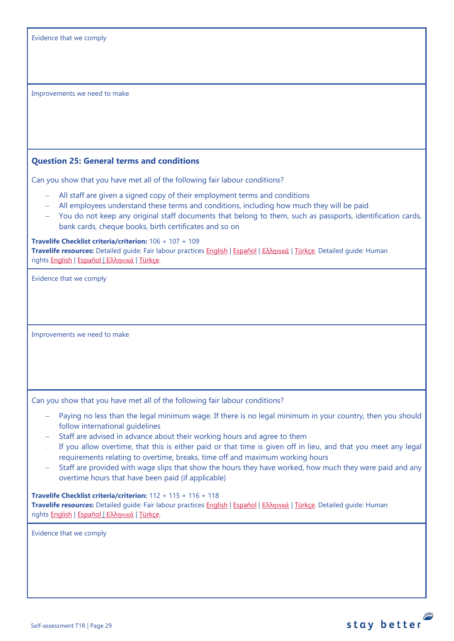## <span id="page-28-0"></span>**Question 25: General terms and conditions**

Can you show that you have met all of the following fair labour conditions?

- − All staff are given a signed copy of their employment terms and conditions
- − All employees understand these terms and conditions, including how much they will be paid
- − You do not keep any original staff documents that belong to them, such as passports, identification cards, bank cards, cheque books, birth certificates and so on

#### **Travelife Checklist criteria/criterion:** 106 + 107 + 109

**Travelife resources:** Detailed guide: Fair labour practices [English](https://travelifestaybetter.com/wp-content/uploads/2021/01/10-Detailed-Guide-Fair-Labour-Practices.pdf) | [Español](https://travelifestaybetter.com/wp-content/uploads/2021/01/10-ES-Detailed-Guide-Fair-Labour-Practices.pdf) | Ελλ[ηνικά](https://travelifestaybetter.com/wp-content/uploads/2021/01/10-GR-Detailed-Guide-Fair-Labour-Practices.pdf) | [Türkçe.](https://travelifestaybetter.com/wp-content/uploads/2021/01/10-Detailed-Guide-Fair-Labour-Practices-TR-Adil-Is-Gucu-Uygulamalari-Detayli-Kilavuz.pdf) Detailed guide: Human rights [English](https://travelifestaybetter.com/wp-content/uploads/2021/01/8-Detailed-Guide-Human-Rights.pdf) | [Español](https://travelifestaybetter.com/wp-content/uploads/2021/01/8-ES-Detailed-Guide-Human-Rights.pdf) | Ελλ[ηνικά](https://travelifestaybetter.com/wp-content/uploads/2021/01/8-GR-Detailed-Guide-Human-Rights.pdf) | [Türkçe.](https://travelifestaybetter.com/wp-content/uploads/2021/01/8-Detailed-Guide-Human-Rights-TR-Insan-Haklari-Detayli-Kilavuz.pdf)

Evidence that we comply

Improvements we need to make

Can you show that you have met all of the following fair labour conditions?

- Paying no less than the legal minimum wage. If there is no legal minimum in your country, then you should follow international guidelines
- − Staff are advised in advance about their working hours and agree to them
- <sup>−</sup> If you allow overtime, that this is either paid or that time is given off in lieu, and that you meet any legal requirements relating to overtime, breaks, time off and maximum working hours
- − Staff are provided with wage slips that show the hours they have worked, how much they were paid and any overtime hours that have been paid (if applicable)

#### **Travelife Checklist criteria/criterion:** 112 + 115 + 116 + 118

**Travelife resources:** Detailed guide: Fair labour practices [English](https://travelifestaybetter.com/wp-content/uploads/2021/01/10-Detailed-Guide-Fair-Labour-Practices.pdf) | [Español](https://travelifestaybetter.com/wp-content/uploads/2021/01/10-ES-Detailed-Guide-Fair-Labour-Practices.pdf) | Ελλ[ηνικά](https://travelifestaybetter.com/wp-content/uploads/2021/01/10-GR-Detailed-Guide-Fair-Labour-Practices.pdf) | [Türkçe.](https://travelifestaybetter.com/wp-content/uploads/2021/01/10-Detailed-Guide-Fair-Labour-Practices-TR-Adil-Is-Gucu-Uygulamalari-Detayli-Kilavuz.pdf) Detailed guide: Human rights [English](https://travelifestaybetter.com/wp-content/uploads/2021/01/8-Detailed-Guide-Human-Rights.pdf) | [Español](https://travelifestaybetter.com/wp-content/uploads/2021/01/8-ES-Detailed-Guide-Human-Rights.pdf) | Ελλ[ηνικά](https://travelifestaybetter.com/wp-content/uploads/2021/01/8-GR-Detailed-Guide-Human-Rights.pdf) | [Türkçe.](https://travelifestaybetter.com/wp-content/uploads/2021/01/8-Detailed-Guide-Human-Rights-TR-Insan-Haklari-Detayli-Kilavuz.pdf)

Evidence that we comply

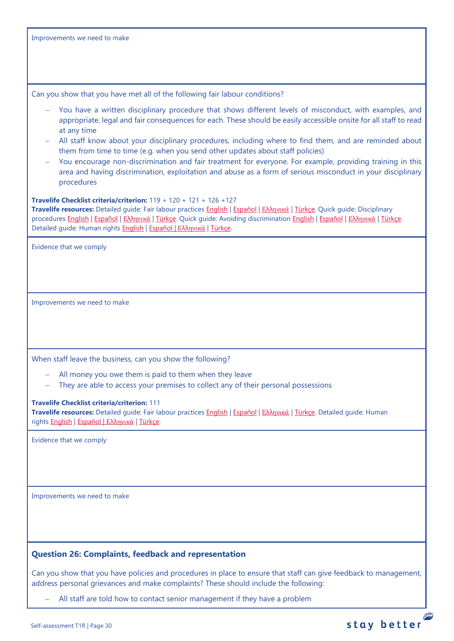<span id="page-29-0"></span>

| Can you show that you have met all of the following fair labour conditions?                                                                                                                                                                                                                                                                                                                                                                                                                                                                                                                                                                                                        |  |
|------------------------------------------------------------------------------------------------------------------------------------------------------------------------------------------------------------------------------------------------------------------------------------------------------------------------------------------------------------------------------------------------------------------------------------------------------------------------------------------------------------------------------------------------------------------------------------------------------------------------------------------------------------------------------------|--|
| You have a written disciplinary procedure that shows different levels of misconduct, with examples, and<br>appropriate, legal and fair consequences for each. These should be easily accessible onsite for all staff to read<br>at any time<br>All staff know about your disciplinary procedures, including where to find them, and are reminded about<br>them from time to time (e.g. when you send other updates about staff policies)<br>You encourage non-discrimination and fair treatment for everyone. For example, providing training in this<br>area and having discrimination, exploitation and abuse as a form of serious misconduct in your disciplinary<br>procedures |  |
| Travelife Checklist criteria/criterion: $119 + 120 + 121 + 126 + 127$<br>Travelife resources: Detailed guide: Fair labour practices English   Español   Ελληνικά   Türkçe. Quick guide: Disciplinary<br>procedures English   Εspañol   Ελληνικά   Türkçe. Quick guide: Avoiding discrimination English   Εspañol   Ελληνικά   Türkçe.<br>Detailed guide: Human rights English   Εspañol   Ελληνικά   Türkçe.                                                                                                                                                                                                                                                                       |  |
| Evidence that we comply                                                                                                                                                                                                                                                                                                                                                                                                                                                                                                                                                                                                                                                            |  |
| Improvements we need to make                                                                                                                                                                                                                                                                                                                                                                                                                                                                                                                                                                                                                                                       |  |
| When staff leave the business, can you show the following?                                                                                                                                                                                                                                                                                                                                                                                                                                                                                                                                                                                                                         |  |
| All money you owe them is paid to them when they leave<br>They are able to access your premises to collect any of their personal possessions                                                                                                                                                                                                                                                                                                                                                                                                                                                                                                                                       |  |
| <b>Travelife Checklist criteria/criterion: 111</b><br>Travelife resources: Detailed guide: Fair labour practices English   Español   Ελληνικά   Türkçe. Detailed guide: Human<br>rights English   Español   Ελληνικά   Türkçe.                                                                                                                                                                                                                                                                                                                                                                                                                                                     |  |
| Evidence that we comply                                                                                                                                                                                                                                                                                                                                                                                                                                                                                                                                                                                                                                                            |  |
| Improvements we need to make                                                                                                                                                                                                                                                                                                                                                                                                                                                                                                                                                                                                                                                       |  |
|                                                                                                                                                                                                                                                                                                                                                                                                                                                                                                                                                                                                                                                                                    |  |
| <b>Question 26: Complaints, feedback and representation</b>                                                                                                                                                                                                                                                                                                                                                                                                                                                                                                                                                                                                                        |  |
| Can you show that you have policies and procedures in place to ensure that staff can give feedback to management,<br>address personal grievances and make complaints? These should include the following:                                                                                                                                                                                                                                                                                                                                                                                                                                                                          |  |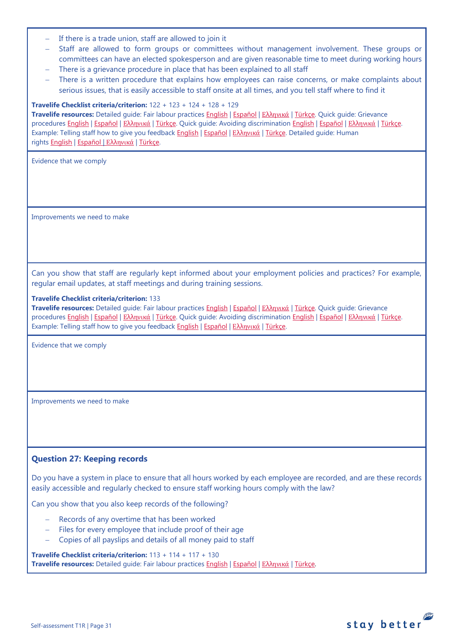- If there is a trade union, staff are allowed to join it
- Staff are allowed to form groups or committees without management involvement. These groups or committees can have an elected spokesperson and are given reasonable time to meet during working hours
- There is a grievance procedure in place that has been explained to all staff
- − There is a written procedure that explains how employees can raise concerns, or make complaints about serious issues, that is easily accessible to staff onsite at all times, and you tell staff where to find it

#### **Travelife Checklist criteria/criterion:** 122 + 123 + 124 + 128 + 129

**Travelife resources:** Detailed guide: Fair labour practices [English](https://travelifestaybetter.com/wp-content/uploads/2021/01/10-Detailed-Guide-Fair-Labour-Practices.pdf) | [Español](https://travelifestaybetter.com/wp-content/uploads/2021/01/10-ES-Detailed-Guide-Fair-Labour-Practices.pdf) | Ελλ[ηνικά](https://travelifestaybetter.com/wp-content/uploads/2021/01/10-GR-Detailed-Guide-Fair-Labour-Practices.pdf) | [Türkçe.](https://travelifestaybetter.com/wp-content/uploads/2021/01/10-Detailed-Guide-Fair-Labour-Practices-TR-Adil-Is-Gucu-Uygulamalari-Detayli-Kilavuz.pdf) Quick guide: Grievance procedures [English](https://travelifestaybetter.com/wp-content/uploads/2019/02/12-Quick-Guide-Grievance-Procedures.pdf) | [Español](https://travelifestaybetter.com/wp-content/uploads/2019/02/12-ES-Quick-Guide-Grievance-Procedures.pdf) | Ελλ[ηνικά](https://travelifestaybetter.com/wp-content/uploads/2020/07/37-Quick-Guide-Grievance-Procedures-GR.pdf) | [Türkçe.](https://travelifestaybetter.com/wp-content/uploads/2020/08/12-Quick-Guide-Grievance-Procedures-TR-12-Hizli-Kilavuz-Sikayet-Proseduru.pdf) Quick guide: Avoiding discrimination [English](https://travelifestaybetter.com/wp-content/uploads/2019/02/13-Quick-Guide-Avoiding-Workplace-Discrimination.pdf) | [Español](https://travelifestaybetter.com/wp-content/uploads/2019/02/13-ES-Quick-Guide-Avoiding-Workplace-Discrimination.pdf) | Ελλ[ηνικά](https://travelifestaybetter.com/wp-content/uploads/2020/07/38-Quick-Guide-Avoiding-Workplace-Discrimination-GR.pdf) | [Türkçe.](https://travelifestaybetter.com/wp-content/uploads/2020/10/13-Quick-Guide-Avoiding-Workplace-Discrimination-TR-Isyerinde-Ayrimciligi-Onlemek-icin-Hizli-Kilavuz.pdf) Example: Telling staff how to give you feedback [English](https://travelifestaybetter.com/wp-content/uploads/2019/02/6-Example-Feedback-Instructions-for-Staff.pdf) | [Español](https://travelifestaybetter.com/wp-content/uploads/2019/02/6-ES-Example-Feedback-Instructions-for-Staff.pdf) | Ελλ[ηνικά](https://travelifestaybetter.com/wp-content/uploads/2021/01/6-GR-Example-Feedback-Instructions-for-Staff.pdf) | [Türkçe.](https://travelifestaybetter.com/wp-content/uploads/2020/08/6-Example-Feedback-Instructions-for-Staff-TR-6-Ornek-Calisan-Geri-Bildirim-Talimati.pdf) Detailed guide: Human rights [English](https://travelifestaybetter.com/wp-content/uploads/2021/01/8-Detailed-Guide-Human-Rights.pdf) | [Español](https://travelifestaybetter.com/wp-content/uploads/2021/01/8-ES-Detailed-Guide-Human-Rights.pdf) | Ελλ[ηνικά](https://travelifestaybetter.com/wp-content/uploads/2021/01/8-GR-Detailed-Guide-Human-Rights.pdf) | [Türkçe.](https://travelifestaybetter.com/wp-content/uploads/2021/01/8-Detailed-Guide-Human-Rights-TR-Insan-Haklari-Detayli-Kilavuz.pdf)

Evidence that we comply

Improvements we need to make

Can you show that staff are regularly kept informed about your employment policies and practices? For example, regular email updates, at staff meetings and during training sessions.

#### **Travelife Checklist criteria/criterion:** 133

**Travelife resources:** Detailed guide: Fair labour practices [English](https://travelifestaybetter.com/wp-content/uploads/2021/01/10-Detailed-Guide-Fair-Labour-Practices.pdf) | [Español](https://travelifestaybetter.com/wp-content/uploads/2021/01/10-ES-Detailed-Guide-Fair-Labour-Practices.pdf) | Ελλ[ηνικά](https://travelifestaybetter.com/wp-content/uploads/2021/01/10-GR-Detailed-Guide-Fair-Labour-Practices.pdf) | [Türkçe.](https://travelifestaybetter.com/wp-content/uploads/2021/01/10-Detailed-Guide-Fair-Labour-Practices-TR-Adil-Is-Gucu-Uygulamalari-Detayli-Kilavuz.pdf) Quick guide: Grievance procedures [English](https://travelifestaybetter.com/wp-content/uploads/2019/02/12-Quick-Guide-Grievance-Procedures.pdf) | [Español](https://travelifestaybetter.com/wp-content/uploads/2019/02/12-ES-Quick-Guide-Grievance-Procedures.pdf) | Ελλ[ηνικά](https://travelifestaybetter.com/wp-content/uploads/2020/07/37-Quick-Guide-Grievance-Procedures-GR.pdf) | [Türkçe.](https://travelifestaybetter.com/wp-content/uploads/2020/08/12-Quick-Guide-Grievance-Procedures-TR-12-Hizli-Kilavuz-Sikayet-Proseduru.pdf) Quick guide: Avoiding discrimination [English](https://travelifestaybetter.com/wp-content/uploads/2019/02/13-Quick-Guide-Avoiding-Workplace-Discrimination.pdf) | [Español](https://travelifestaybetter.com/wp-content/uploads/2019/02/13-ES-Quick-Guide-Avoiding-Workplace-Discrimination.pdf) | Ελλ[ηνικά](https://travelifestaybetter.com/wp-content/uploads/2020/07/38-Quick-Guide-Avoiding-Workplace-Discrimination-GR.pdf) | [Türkçe.](https://travelifestaybetter.com/wp-content/uploads/2020/10/13-Quick-Guide-Avoiding-Workplace-Discrimination-TR-Isyerinde-Ayrimciligi-Onlemek-icin-Hizli-Kilavuz.pdf) Example: Telling staff how to give you feedback [English](https://travelifestaybetter.com/wp-content/uploads/2019/02/6-Example-Feedback-Instructions-for-Staff.pdf) | Εspañol | Ελλ[ηνικά](https://travelifestaybetter.com/wp-content/uploads/2021/01/6-GR-Example-Feedback-Instructions-for-Staff.pdf) | [Türkçe.](https://travelifestaybetter.com/wp-content/uploads/2020/08/6-Example-Feedback-Instructions-for-Staff-TR-6-Ornek-Calisan-Geri-Bildirim-Talimati.pdf)

Evidence that we comply

Improvements we need to make

# <span id="page-30-0"></span>**Question 27: Keeping records**

Do you have a system in place to ensure that all hours worked by each employee are recorded, and are these records easily accessible and regularly checked to ensure staff working hours comply with the law?

Can you show that you also keep records of the following?

- − Records of any overtime that has been worked
- − Files for every employee that include proof of their age
- − Copies of all payslips and details of all money paid to staff

**Travelife Checklist criteria/criterion:** 113 + 114 + 117 + 130 **Travelife resources:** Detailed guide: Fair labour practices [English](https://travelifestaybetter.com/wp-content/uploads/2021/01/10-Detailed-Guide-Fair-Labour-Practices.pdf) | [Español](https://travelifestaybetter.com/wp-content/uploads/2021/01/10-ES-Detailed-Guide-Fair-Labour-Practices.pdf) | Ελλ[ηνικά](https://travelifestaybetter.com/wp-content/uploads/2021/01/10-GR-Detailed-Guide-Fair-Labour-Practices.pdf) | [Türkçe.](https://travelifestaybetter.com/wp-content/uploads/2021/01/10-Detailed-Guide-Fair-Labour-Practices-TR-Adil-Is-Gucu-Uygulamalari-Detayli-Kilavuz.pdf)